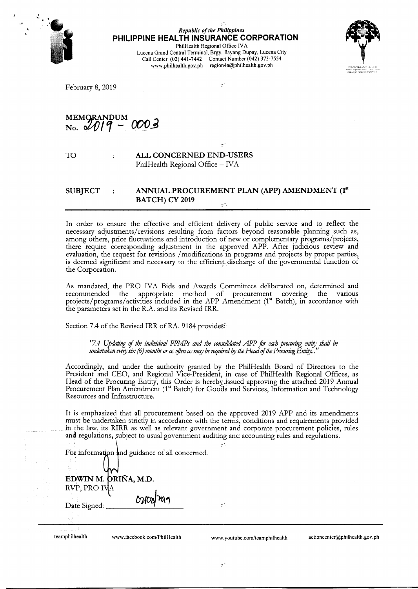

# *Republic of the Philippines*  **PHILIPPINE HEALTH INSURANCE CORPORATION**

PhilHealth Regional Office IV A Lucena Grand Central Terminal, Brgy. Ilayang Dupay, Lucena City Call Center (02) 441-7442 Contact Number (042) 373-7554 www.philhealth.gov.ph region4a@philhealth.gov.ph

 $\frac{1}{2}$ 



February 8, 2019

MEMORANDUM 000ع  $No.$   $\cancel{\circ}0$ 

 $\cdot$ 

TO

# **ALL CONCERNED END-USERS**  PhilHealth Regional Office - IVA

# **SUBJECT ANNUAL PROCUREMENT PLAN (APP) AMENDMENT (1"' BATCH) CY 2019**

In order to ensure the effective and efficient delivery of public service and to reflect the necessary adjustments/ revisions resulting from factors beyond reasonable planning such as, among others, price fluctuations and introduction of new or complementary programs/projects, there require corresponding adjustment in the approved APP. After judicious review and evaluation, the request for revisions /modifications in programs and projects by proper parties, is deemed significant and necessary to the efficient discharge of the governmental function of the Corporation.

As mandated, the PRO IVA Bids and Awards Committees deliberated on, determined and recommended the appropriate method of procurement covering the various projects/programs/activities included in the APP Amendment (1st Batch), in accordance with the parameters set in the R.A. and its Revised IRR.

Section 7.4 of the Revised IRR of RA. 9184 provides:

*"7.4 Updating* of *the individual PPMPs and the consolidated APP for each procuring entity shall* be *undertaken every* six *(6) months or* ar *rften* ar *mqy be required I!J the Head* of *the Procuring Entity. .. "* 

Accordingly, and under the authority granted by the PhilHealth Board of Directors to the President and CEO, and Regional Vice-President, in case of PhilHealth Regional Offices, as Head of the Procuring Entity, this Order is hereby issued approving the attached 2019 Annual Procurement Plan Amendment (1st Batch) for Goods and Services, Information and Technology Resources and Infrastructure.

It is emphasized that all procurement based on the approved 2019 APP and its amendments must be undertaken strictly in accordance with the terms, conditions and requirements provided . in the law, its RIRR as well as relevant government and corporate procurement policies, rules and regulations, subject to usual government auditing and accounting rules and regulations.

For information and guidance of all concerned.

| teamphilhealth                     | www.facebook.com/PhilHealth | www.youtube.com/teamphilhealth | actioncenter@philhealth.gov.ph |
|------------------------------------|-----------------------------|--------------------------------|--------------------------------|
| Date Signed:<br>ı.,<br>$\sim$ 1.6. | 02/08/2017                  | чħ,                            |                                |
| RVP, PRO IVA                       | EDWIN M. ORIÑA, M.D.        |                                |                                |
|                                    |                             |                                |                                |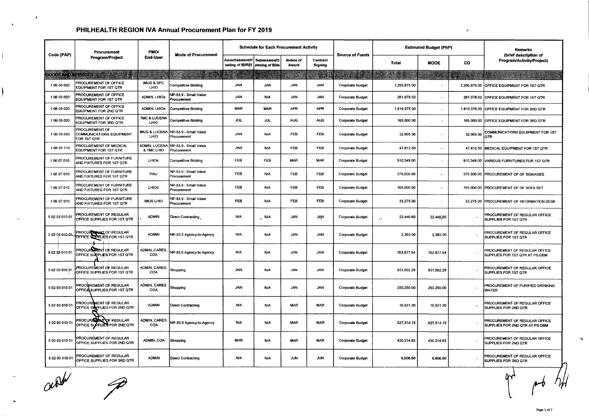|                    | Procurement                                                             | PMO/                               | <b>Mode of Procurement</b>           |                                                      | <b>Schedule for Each Procurement Activity</b> |                           |                            | <b>Source of Funds</b>  |                             | <b>Estimated Budget (PhP)</b> |           | Remarks                                                         |
|--------------------|-------------------------------------------------------------------------|------------------------------------|--------------------------------------|------------------------------------------------------|-----------------------------------------------|---------------------------|----------------------------|-------------------------|-----------------------------|-------------------------------|-----------|-----------------------------------------------------------------|
| Code (PAP)         | Program/Project                                                         | End-User                           |                                      | Advertisement/P<br>osting of IB/REI   pening of Bids | Submission/O                                  | <b>Notice of</b><br>Award | Contract<br><b>Signing</b> |                         | <b>Total</b>                | <b>MOOE</b>                   | <b>CO</b> | (brief description of<br>Program/Activity/Project)              |
| GOODS AND SERVICES | an Pin                                                                  |                                    |                                      |                                                      |                                               |                           |                            |                         | 33.38                       |                               |           |                                                                 |
| 106 05 020         | PROCUREMENT OF OFFICE<br>EQUIPMENT FOR 1ST QTR                          | <b>IMUS &amp; SPC</b><br>LHIO      | Competitive Bidding                  | <b>JAN</b>                                           | <b>JAN</b>                                    | <b>JAN</b>                | <b>JAN</b>                 | Corporate Budget        | 1,295,875.00                |                               |           | 1,295,875.00 OFFICE EQUIPMENT FOR 1ST QTR                       |
| 106 05 020         | PROCUREMENT OF OFFICE<br>EQUIPMENT FOR 1ST QTR                          | ADMIN, LHIOs                       | NP-53.9 - Small Value<br>Procurement | <b>JAN</b>                                           | N/A                                           | <b>JAN</b>                | <b>JAN</b>                 | Corporate Budget        | 261,078.02                  | $\sim$                        |           | 261,078.02 OFFICE EQUIPMENT FOR 1ST QTR                         |
| 1 06 05 020        | PROCUREMENT OF OFFICE<br>EQUIPMENT FOR 2ND QTR                          | <b>ADMIN, LHIOS</b>                | <b>Competitive Bidding</b>           | <b>MAR</b>                                           | <b>MAR</b>                                    | <b>APR</b>                | <b>APR</b>                 | Corporate Budget        | 1,819,375.00                | $\sim$                        |           | 1,819,375.00 OFFICE EQUIPMENT FOR 2ND QTR                       |
| 1 06 05 020        | PROCUREMENT OF OFFICE<br>EQUIPMENT FOR 3RD QTR                          | <b>TMC &amp; LUCENA</b><br>LHIO    | Competitive Bidding                  | ዝሆ                                                   | JUL                                           | <b>AUG</b>                | <b>AUG</b>                 | <b>Corporate Budget</b> | 165,000.00                  |                               |           | 165,000.00 OFFICE EQUIPMENT FOR 3RD QTR                         |
| 106 05 030         | <b>PROCUREMENT OF</b><br><b>COMMUNICATIONS EQUIPMENT</b><br>FOR 1ST QTR | <b>IMUS &amp; LUCENA</b><br>LHIO   | NP-53.9 - Small Value<br>Procurement | <b>JAN</b>                                           | <b>N/A</b>                                    | <b>FEB</b>                | FEB                        | <b>Corporate Budget</b> | 32,905.96                   | $\sim$                        | 32,905.96 | COMMUNICATIONS EQUIPMENT FOR 1ST<br>QTR                         |
| 106 05 110         | PROCUREMENT OF MEDICAL<br>EQUIPMENT FOR 1ST QTR                         | <b>ADMIN, LUCENA</b><br>& TMC LHIO | NP-53.9 - Small Value<br>Procurement | JAN                                                  | <b>N/A</b>                                    | FEB                       | FEB                        | Corporate Budget        | 47,812.50                   |                               | 47,812.50 | MEDICAL EQUIPMENT FOR 1ST QTR                                   |
| 10607010           | PROCUREMENT OF FURNITURE<br>AND FIXTURES FOR 1ST QTR                    | <b>LHIOS</b>                       | <b>Competitive Bidding</b>           | FEB                                                  | <b>FEB</b>                                    | MAR                       | MAR                        | <b>Corporate Budget</b> | 910,349.00                  | $\sim$                        |           | 910,349.00 VARIOUS FURNITURES FOR 1ST QTR                       |
| 106 07 010         | <b>PROCUREMENT OF FURNITURE</b><br>AND FIXTURES FOR 1ST QTR             | PAU                                | NP-53.9 - Small Value<br>Procurement | FEB                                                  | N/A                                           | <b>FEB</b>                | <b>FEB</b>                 | Corporate Budget        | 379,500.00                  | $\blacksquare$                |           | 379,500.00 PROCUREMENT OF OF SIGNAGES                           |
| 1 06 07 010        | PROCUREMENT OF FURNITURE<br>AND FIXTURES FOR 1ST QTR                    | LHIOS                              | NP-53.9 - Small Value<br>Procurement | FEB                                                  | <b>N/A</b>                                    | <b>FEB</b>                | <b>FEB</b>                 | Corporate Budget        | 165,000.00                  | $\overline{\phantom{a}}$      |           | 165,000.00 PROCUREMENT OF OF SOFA SET                           |
| 106 07 010         | PROCUREMENT OF FURNITURE<br>AND FIXTURES FOR 1ST QTR                    | <b>IMUS LHIO</b>                   | NP-53.9 - Small Value<br>Procurement | FEB                                                  | <b>N/A</b>                                    | FEB                       | FEB                        | <b>Corporate Budget</b> | 33,275.00                   |                               |           | 33,275.00 PROCUREMENT OF INFORMATION DESK                       |
| 5 02 03 010 01     | PROCUREMENT OF REGULAR<br>OFFICE SUPPLIES FOR 1ST QTR                   | <b>ADMIN</b>                       | <b>Direct Contracting</b>            | <b>N/A</b>                                           | <b>N/A</b><br>$\ddot{\phantom{0}}$            | <b>JAN</b>                | JĄN                        | <b>Corporate Budget</b> | 22,446.60<br>$\mathbf{v}_t$ | 22,446,60                     |           | PROCUREMENT OF REGULAR OFFICE<br>SUPPLIES FOR 1ST QTR           |
| 5 02 03 010 01     | <b>PROCUR WENT OF REGULAR</b><br>OFFICE SUPPLIES FOR 1ST QTR            | <b>ADMIN</b>                       | NP-53.5 Agency-to-Agency             | <b>N/A</b>                                           | <b>N/A</b>                                    | <b>JAN</b>                | <b>JAN</b>                 | <b>Corporate Budget</b> | 2,365.00                    | 2,365.00                      |           | PROCUREMENT OF REGULAR OFFICE<br>SUPPLIES FOR 1ST QTR           |
| 5 02 03 010 01     | <b>PROCURS TENT OF REGULAR</b><br>OFFICE SURPLIES FOR 1ST QTR           | ADMIN, CARES,<br>COA               | NP-53.5 Agency-to-Agency             | N/A                                                  | N/A                                           | <b>JAN</b>                | <b>JAN</b>                 | Corporate Budget        | 763,977.54                  | 763,977.54                    |           | PROCUREMENT OF REGULAR OFFICE<br>SUPPLIES FOR 1ST QTR AT PS-DBM |
| 5020301001         | PROCUREMENT OF REGULAR<br>OFFICE SUPPLIES FOR 1ST QTR                   | ADMIN, CARES,<br>COA               | Shopping                             | <b>JAN</b>                                           | <b>N/A</b>                                    | <b>JAN</b>                | <b>JAN</b>                 | Corporate Budget        | 831,562.29                  | 831,562.29                    |           | PROCUREMENT OF REGULAR OFFICE<br>SUPPLIES FOR 1ST QTR           |
| 5020301001         | PROCUREMENT OF REGULAR<br>OFFICE SUPPLIES FOR 1ST QTR                   | ADMIN, CARES,<br>COA               | Shopping                             | <b>JAN</b>                                           | N/A                                           | <b>JAN</b>                | <b>JAN</b>                 | <b>Corporate Budget</b> | 250,250.00                  | 250,250.00                    |           | PROCUREMENT OF PURIFIED DRINKING<br>WATER                       |
| 5 02 03 010 01     | PROCUREMENT OF REGULAR<br>OFFICE SUPPLIES FOR 2ND QTR                   | <b>ADMIN</b>                       | <b>Direct Contracting</b>            | N/A                                                  | <b>N/A</b>                                    | <b>MAR</b>                | <b>MAR</b>                 | Corporate Budget        | 16,531.20                   | 16,531.20                     |           | PROCUREMENT OF REGULAR OFFICE<br>SUPPLIES FOR 2ND QTR           |
| 5 02 03 010 01     | PROCURS AND OF REGULAR<br>OFFICE SUPPLIES FOR 2ND QTR                   | ADMIN, CARES,<br>COA               | NP-53.5 Agency-to-Agency             | <b>N/A</b>                                           | <b>N/A</b>                                    | <b>MAR</b>                | MAR                        | <b>Corporate Budget</b> | 627,314.15                  | 627,314.15                    |           | PROCUREMENT OF REGULAR OFFICE<br>SUPPLIES FOR 2ND QTR AT PS-DBM |
| 5 02 03 010 01     | PROCUREMENT OF REGULAR<br>OFFICE SUPPLIES FOR 2ND QTR                   | ADMIN, COA                         | Shopping                             | <b>MAR</b>                                           | <b>N/A</b>                                    | <b>MAR</b>                | <b>MAR</b>                 | Corporate Budget        | 430,314.83                  | 430,314.83                    |           | PROCUREMENT OF REGULAR OFFICE<br>SUPPLIES FOR 2ND QTR           |
| 5 02 03 010 01     | PROCUREMENT OF REGULAR<br>OFFICE SUPPLIES FOR 3RD QTR                   | <b>ADMIN</b>                       | Direct Contracting                   | <b>N/A</b>                                           | <b>N/A</b>                                    | <b>JUN</b>                | <b>JUN</b>                 | <b>Corporate Budget</b> | 6,606.60                    | 6,606.60                      |           | PROCUREMENT OF REGULAR OFFICE<br>SUPPLIES FOR 3RD OTR           |

acall

 $\mathbf{t}$ 

 $\mathbf{X}$  :

 $\ddot{\phantom{0}}$ 

*:7* 

FOR 3RD OTR<br>POR 3RD OTR<br>**COR 3RD OTR** 

 $\mathbf{J}$ 

~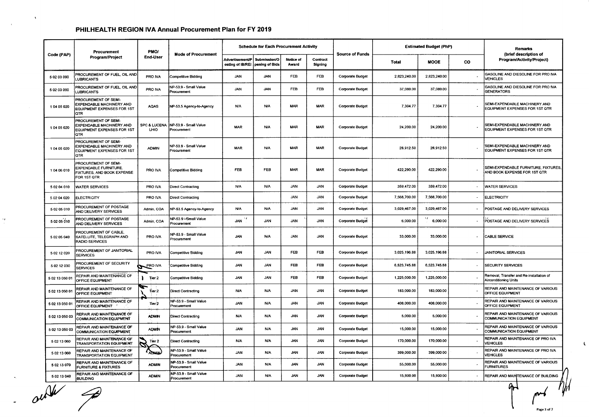|                | Procurement                                                                                         | <b>PMO/</b>                     |                                             |                                                                   | <b>Schedule for Each Procurement Activity</b> |                    |                     |                         |              | <b>Estimated Budget (PhP)</b> |     | Remarks                                                                  |
|----------------|-----------------------------------------------------------------------------------------------------|---------------------------------|---------------------------------------------|-------------------------------------------------------------------|-----------------------------------------------|--------------------|---------------------|-------------------------|--------------|-------------------------------|-----|--------------------------------------------------------------------------|
| Code (PAP)     | Program/Project                                                                                     | <b>End-User</b>                 | <b>Mode of Procurement</b>                  | Advertisement/P   Submission/O<br>osting of IB/REI pening of Bids |                                               | Notice of<br>Award | Contract<br>Signing | <b>Source of Funds</b>  | <b>Total</b> | <b>MOOE</b>                   | CO. | (brief description of<br>Program/Activity/Project)                       |
| 5 02 03 090    | PROCUREMENT OF FUEL, OIL AND<br><b>UBRICANTS</b>                                                    | PRO IVA                         | Competitive Bidding                         | <b>JAN</b>                                                        | JAN                                           | FEB                | <b>FEB</b>          | <b>Corporate Budget</b> | 2,823,240.00 | 2,823,240.00                  |     | GASOLINE AND DIESOLINE FOR PRO IVA<br>VEHICLES                           |
| 5 02 03 090    | PROCUREMENT OF FUEL, OIL AND<br><b>UBRICANTS</b>                                                    | PRO IVA                         | <b>NP-53.9 - Small Value</b><br>Procurement | <b>JAN</b>                                                        | JAN                                           | FEB                | FEB                 | <b>Corporate Budget</b> | 37,080.00    | 37,080.00                     |     | GASOLINE AND DIESOLINE FOR PRO IVA<br><b>GENERATORS</b>                  |
| 1 04 05 020    | PROCUREMENT OF SEMI-<br>EXPENDABLE MACHINERY AND<br><b>EQUIPMENT EXPENSES FOR 1ST</b><br><b>QTR</b> | <b>AQAS</b>                     | NP-53.5 Agency to Agency                    | <b>N/A</b>                                                        | <b>N/A</b>                                    | <b>MAR</b>         | <b>MAR</b>          | <b>Corporate Budget</b> | 7,304.77     | 7,304.77                      |     | SEMI-EXPENDABLE MACHINERY AND<br>EQUIPMENT EXPENSES FOR 1ST QTR          |
| 104 05 020     | PROCUREMENT OF SEMI-<br>EXPENDABLE MACHINERY AND<br>EQUIPMENT EXPENSES FOR 1ST<br><b>OTR</b>        | <b>SPC &amp; LUCENA</b><br>LHIO | NP-53.9 - Small Value<br>Procurement        | <b>MAR</b>                                                        | <b>N/A</b>                                    | <b>MAR</b>         | <b>MAR</b>          | <b>Corporate Budget</b> | 24,200.00    | 24,200.00                     |     | SEMI-EXPENDABLE MACHINERY AND<br>EQUIPMENT EXPENSES FOR 1ST QTR          |
| 1 04 05 020    | PROCUREMENT OF SEMI-<br>EXPENDABLE MACHINERY AND<br><b>EQUIPMENT EXPENSES FOR 1ST</b><br>OTR        | <b>ADMIN</b>                    | NP-53.9 - Small Value<br>Procurement        | <b>MAR</b>                                                        | <b>N/A</b>                                    | MAR                | MAR                 | Corporate Budget        | 28,912.50    | 28,912.50                     |     | SEMI-EXPENDABLE MACHINERY AND<br>EQUIPMENT EXPENSES FOR 1ST QTR          |
| 104 06 010     | PROCUREMENT OF SEMI-<br><b>EXPENDABLE FURNITURE.</b><br>FIXTURES, AND BOOK EXPENSE<br>FOR 1ST OTR   | PRO IVA                         | Competitive Bidding                         | <b>FEB</b>                                                        | FEB                                           | <b>MAR</b>         | <b>MAR</b>          | <b>Corporate Budget</b> | 422,290.00   | 422,290.00                    |     | SEMI-EXPENDABLE FURNITURE, FIXTURES,<br>AND BOOK EXPENSE FOR 1ST QTR     |
| 5 02 04 010    | <b>WATER SERVICES</b>                                                                               | PRO IVA                         | <b>Direct Contracting</b>                   | <b>N/A</b>                                                        | <b>N/A</b>                                    | <b>JAN</b>         | JAN                 | <b>Corporate Budget</b> | 359,472.00   | 359,472.00                    |     | <b>WATER SERVICES</b>                                                    |
| 5 02 04 020    | <b>ELECTRICITY</b>                                                                                  | PRO IVA                         | Direct Contracting                          |                                                                   |                                               | <b>JAN</b>         | JAN                 | <b>Corporate Budget</b> | 7,568,700.00 | 7,568,700.00                  |     | <b>ELECTRICITY</b>                                                       |
| 5 02 05 010    | PROCUREMENT OF POSTAGE<br>AND DELIVERY SERVICES                                                     | Admin, COA                      | NP-53.5 Agency-to-Agency                    | <b>N/A</b>                                                        | <b>N/A</b>                                    | <b>JAN</b>         | <b>JAN</b>          | <b>Corporate Budget</b> | 3,029,467.00 | 3,029,467.00                  |     | POSTAGE AND DELIVERY SERVICES                                            |
| 5 02 05 010    | PROCUREMENT OF POSTAGE<br>AND DELIVERY SERVICES                                                     | Admin, COA                      | NP-53.9 - Small Value<br>Procurement        | <b>JAN</b>                                                        | <b>JAN</b>                                    | <b>JAN</b>         | <b>JAN</b>          | <b>Corporate Budget</b> | 6,000.00     | 6,000.00                      |     | POSTAGE AND DELIVERY SERVICES                                            |
| 5 02 05 040    | PROCUREMENT OF CABLE,<br>SATELLITE, TELEGRAPH AND<br><b>RADIO SERVICES</b>                          | PRO IVA                         | NP-53.9 - Small Value<br>Procurement        | JAN                                                               | <b>N/A</b>                                    | <b>JAN</b>         | <b>JAN</b>          | <b>Corporate Budget</b> | 33,000.00    | 33,000.00                     |     | CABLE SERVICE                                                            |
| 5 02 12 020    | PROCUREMENT OF JANITORIAL<br><b>SERVICES</b>                                                        | PRO IVA                         | Competitive Bidding                         | <b>JAN</b>                                                        | <b>JAN</b>                                    | FEB                | FEB                 | <b>Corporate Budget</b> | 3,025,196.88 | 3,025,196.88                  |     | <b>JANITORIAL SERVICES</b>                                               |
| 5 02 12 030    | PROCUREMENT OF SECURITY<br><b>SERVICES</b>                                                          | PRO IVA                         | <b>Competitive Bidding</b>                  | <b>JAN</b>                                                        | <b>JAN</b>                                    | FEB                | FEB                 | <b>Corporate Budget</b> | 6,523,745.88 | 6,523,745.88                  |     | <b>SECURITY SERVICES</b>                                                 |
| 5 02 13 050 01 | REPAIR AND MAINTENANCE OF<br>OFFICE EQUIPMENT                                                       | Tier 2<br>ı.                    | <b>Competitive Bidding</b>                  | <b>JAN</b>                                                        | <b>JAN</b>                                    | <b>FEB</b>         | <b>FEB</b>          | <b>Corporate Budget</b> | 1,225,000.00 | 1,225,000.00                  |     | Removal, Transfer and Re-installation of<br><b>Airconditioning Units</b> |
| 502 13050 01   | REPAIR AND MAINTENANCE OF<br>OFFICE EQUIPMENT                                                       | Tier 2                          | Direct Contracting                          | <b>N/A</b>                                                        | <b>N/A</b>                                    | <b>JAN</b>         | <b>JAN</b>          | <b>Corporate Budget</b> | 183,000.00   | 183,000.00                    |     | REPAIR AND MAINTENANCE OF VARIOUS<br>OFFICE EQUIPMENT                    |
| 5 02 13 050 01 | REPAIR AND MAINTENANCE OF<br>OFFICE EQUIPMENT                                                       | Tier <sub>2</sub>               | NP-53.9 - Small Value<br>Procurement        | <b>JAN</b>                                                        | <b>N/A</b>                                    | <b>JAN</b>         | <b>JAN</b>          | <b>Corporate Budget</b> | 408,000.00   | 408,000.00                    |     | REPAIR AND MAINTENANCE OF VARIOUS<br>OFFICE EQUIPMENT                    |
| 5 02 13 050 03 | REPAIR AND MAINTENANCE OF<br><b>COMMUNICATION EQUIPMENT</b>                                         | <b>ADMIN</b>                    | <b>Direct Contracting</b>                   | <b>N/A</b>                                                        | <b>N/A</b>                                    | JAN                | <b>JAN</b>          | <b>Corporate Budget</b> | 5,000.00     | 5,000.00                      |     | REPAIR AND MAINTENANCE OF VARIOUS<br><b>COMMUNICATION EQUIPMENT</b>      |
| 5 02 13 050 03 | REPAIR AND MAINTENANCE OF<br>COMMUNICATION EQUIPMENT                                                | <b>ADMIN</b>                    | NP-53.9 - Small Value<br>Procurement        | <b>JAN</b>                                                        | <b>N/A</b>                                    | <b>JAN</b>         | <b>JAN</b>          | <b>Corporate Budget</b> | 15,000.00    | 15,000.00                     |     | REPAIR AND MAINTENANCE OF VARIOUS<br><b>COMMUNICATION EQUIPMENT</b>      |
| 5 02 13 060    | REPAIR AND MAINTENANCE OF<br><b>TRANSPORTATION EQUIPMENT</b>                                        | Tier 2                          | <b>Direct Contracting</b>                   | <b>N/A</b>                                                        | <b>N/A</b>                                    | <b>JAN</b>         | <b>JAN</b>          | <b>Corporate Budget</b> | 170,000.00   | 170,000.00                    |     | REPAIR AND MAINTENANCE OF PRO IVA<br><b>VEHICLES</b>                     |
| 5 02 13 060    | REPAIR AND MAINTENANCE OF<br>TRANSPORTATION EQUIPMENT                                               | r<br>ADN                        | NP-53.9 - Small Value<br>Procurement        | <b>JAN</b>                                                        | N/A                                           | <b>JAN</b>         | <b>JAN</b>          | <b>Corporate Budget</b> | 399,000.00   | 399,000.00                    |     | REPAIR AND MAINTENANCE OF PRO IVA<br><b>VEHICLES</b>                     |
| 5 02 13 070    | REPAIR AND MAINTENANCE OF<br><b>FURNITURE &amp; FIXTURES</b>                                        | <b>ADMIN</b>                    | NP-53.9 - Small Value<br>Procurement        | <b>JAN</b>                                                        | <b>N/A</b>                                    | <b>JAN</b>         | <b>JAN</b>          | Corporate Budget        | 55,000.00    | 55,000.00                     |     | REPAIR AND MAINTENANCE OF VARIOUS<br><b>FURNITURES</b>                   |
| 5 02 13 040    | REPAIR AND MAINTENANCE OF<br><b>BUILDING</b>                                                        | <b>ADMIN</b>                    | NP-53.9 - Small Value<br>Procurement        | <b>JAN</b>                                                        | <b>N/A</b>                                    | JAN                | <b>JAN</b>          | <b>Corporate Budget</b> | 15,800.00    | 15,800.00                     |     | REPAIR AND MAINTENANCE OF BUILDING                                       |
|                |                                                                                                     |                                 |                                             |                                                                   |                                               |                    |                     |                         |              |                               |     | $\theta$<br>Page 3 of 7                                                  |

 $\overline{u^2}$ 

 $\sim$ 

 $\mathcal{N}_{\rm f}$ 

*W* 

 $\zeta$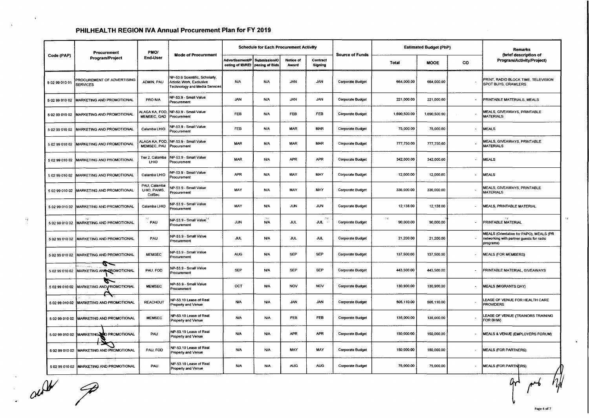|                | Procurement                                   | PMO/                                   |                                                                                             |                                                                       | <b>Schedule for Each Procurement Activity</b> |                    |                     |                         |                                     | <b>Estimated Budget (PhP)</b> |                          | Remarks                                                                                          |
|----------------|-----------------------------------------------|----------------------------------------|---------------------------------------------------------------------------------------------|-----------------------------------------------------------------------|-----------------------------------------------|--------------------|---------------------|-------------------------|-------------------------------------|-------------------------------|--------------------------|--------------------------------------------------------------------------------------------------|
| Code (PAP)     | Program/Project                               | End-User                               | <b>Mode of Procurement</b>                                                                  | Advertisement/P   Submission/O  <br>osting of IB/REI   pening of Bids |                                               | Notice of<br>Award | Contract<br>Signing | <b>Source of Funds</b>  | Total                               | <b>MOOE</b>                   | CO                       | (brief description of<br>Program/Activity/Project)                                               |
| 5 02 99 010 01 | PROCUREMENT OF ADVERTISING<br><b>SERVICES</b> | ADMIN, PAU                             | NP-53.6 Scientific, Scholarly,<br>Artistic Work, Exclusive<br>Technology and Media Services | <b>N/A</b>                                                            | N/A                                           | JAN                | JAN                 | <b>Corporate Budget</b> | 664,000.00                          | 664,000.00                    |                          | PRINT, RADIO BLOCK TIME, TELEVISION<br>SPOT BUYS, CRAWLERS                                       |
| 5 02 99 010 02 | MARKETING AND PROMOTIONAL                     | PRO IVA                                | NP-53.9 - Small Value<br>Procurement                                                        | <b>JAN</b>                                                            | <b>N/A</b>                                    | JAN                | <b>JAN</b>          | <b>Corporate Budget</b> | 221,000.00                          | 221,000.00                    |                          | PRINTABLE MATERIALS, MEALS                                                                       |
|                | 5 02 99 010 02 MARKETING AND PROMOTIONAL      | ALAGA KA, FOD,<br><b>MEMSEC, GAD</b>   | NP-53.9 - Small Value<br>Procurement                                                        | FEB                                                                   | <b>N/A</b>                                    | FEB                | <b>FEB</b>          | <b>Corporate Budget</b> | 1,690,500.00                        | 1,690,500.00                  |                          | MEALS, GIVEAWAYS, PRINTABLE<br>MATERIALS                                                         |
| 5 02 99 010 02 | MARKETING AND PROMOTIONAL                     | Calamba LHIO                           | <b>VP-53.9 - Small Value</b><br>Procurement                                                 | FEB                                                                   | <b>N/A</b>                                    | <b>MAR</b>         | <b>MAR</b>          | Corporate Budget        | 75,000.00                           | 75,000.00                     |                          | <b>MEALS</b>                                                                                     |
|                | 5 02 99 010 02 MARKETING AND PROMOTIONAL      | ALAGA KA, FOD,<br><b>MEMSEC, PAU</b>   | NP-53.9 - Small Value<br>Procurement                                                        | <b>MAR</b>                                                            | N/A                                           | <b>MAR</b>         | <b>MAR</b>          | <b>Corporate Budget</b> | 777,750.00                          | 777,750.00                    |                          | MEALS, GIVEAWAYS, PRINTABLE<br><b>MATERIALS</b>                                                  |
| 5 02 99 010 02 | MARKETING AND PROMOTIONAL                     | Tier 2, Calamba<br>LHIO                | NP-53.9 - Small Value<br>Procurement                                                        | <b>MAR</b>                                                            | <b>N/A</b>                                    | <b>APR</b>         | <b>APR</b>          | <b>Corporate Budget</b> | 342,000.00                          | 342,000.00                    |                          | <b>MEALS</b>                                                                                     |
| 5 02 99 010 02 | MARKETING AND PROMOTIONAL                     | Calamba LHIO                           | IP-53.9 - Small Value<br>Procurement                                                        | <b>APR</b>                                                            | <b>N/A</b>                                    | MAY                | MAY                 | Corporate Budget        | 12,000.00                           | 12,000.00                     |                          | MEALS                                                                                            |
| 5 02 99 010 02 | MARKETING AND PROMOTIONAL                     | PAU, Calamba<br>LHIO, PAIMS,<br>ColSec | NP-53.9 - Small Value<br>Procurement                                                        | MAY                                                                   | N/A                                           | MAY                | MAY                 | Corporate Budget        | 336,000.00                          | 336,000.00                    |                          | MEALS, GIVEAWAYS, PRINTABLE<br>MATERIALS                                                         |
|                | 5 02 99 010 02   MARKETING AND PROMOTIONAL    | Calamba LHIO                           | VP-53.9 - Small Value<br>Procurement                                                        | MAY                                                                   | <b>N/A</b>                                    | <b>JUN</b>         | <b>JUN</b>          | Corporate Budget        | 12,138.00                           | 12,138.00                     | $\overline{\phantom{a}}$ | MEALS, PRINTABLE MATERIAL                                                                        |
| 5 02 99 010 02 | $\mathcal{M}$<br>MARKETING AND PROMOTIONAL    | $\Delta$ $I$ .<br>PAU                  | VP-53.9 - Small Value <sup>\'</sup><br>Procurement                                          | <b>JUN</b>                                                            | $\Delta\phi$<br><b>N/A</b>                    | <b>JUL</b>         | $\Delta$<br>JUL     | Corporate Budget        | $\rightarrow$ $\prime$<br>90,000.00 | 90,000.00                     |                          | $\ddot{\phantom{1}}$<br><b>PRINTABLE MATERIAL</b>                                                |
| 5 02 99 010 02 | <b>MARKETING AND PROMOTIONAL</b>              | PAU                                    | NP-53.9 - Small Value<br>Procurement                                                        | JUL                                                                   | <b>N/A</b>                                    | JUL                | JUL                 | <b>Corporate Budget</b> | 21,200.00                           | 21,200.00                     | $\overline{\phantom{a}}$ | MEALS (Orientation for PAPO), MEALS (PR<br>networking with partner guests for radio<br>programs) |
|                | 5 02 99 010 02 MARKETING AND PROMOTIONAL      | <b>MEMSEC</b>                          | <b>NP-53.9 - Small Value</b><br>Procurement                                                 | <b>AUG</b>                                                            | <b>N/A</b>                                    | SEP                | <b>SEP</b>          | <b>Corporate Budget</b> | 137,500.00                          | 137,500.00                    |                          | MEALS (FOR MEMBERS)                                                                              |
|                | az<br>5 02 99 010 02 MARKETING ANE ROMOTIONAL | PAU, FOD                               | NP-53.9 - Small Value<br>Procurement                                                        | <b>SEP</b>                                                            | <b>N/A</b>                                    | SEP                | <b>SEP</b>          | Corporate Budget        | 443,500.00                          | 443,500.00                    | $\tilde{\phantom{a}}$    | <b>PRINTABLE MATERIAL, GIVEAWAYS</b>                                                             |
| 5 02 99 010 02 | S<br><b>MARKETING AND PROMOTIONAL</b>         | <b>MEMSEC</b>                          | NP-53.9 - Small Value<br>Procurement                                                        | OCT                                                                   | <b>N/A</b>                                    | <b>NOV</b>         | <b>NOV</b>          | <b>Corporate Budget</b> | 130,900.00                          | 130,900.00                    | $\sim$                   | MEALS (MIGRANTS DAY)                                                                             |
|                | 5 02 99 010 02 MARKETING AND PROMOTIONAL      | REACHOUT                               | <b>NP-53.10 Lease of Real</b><br>Property and Venue                                         | <b>N/A</b>                                                            | <b>NA</b>                                     | <b>JAN</b>         | <b>JAN</b>          | <b>Corporate Budget</b> | 505,110.00                          | 505,110.00                    |                          | LEASE OF VENUE FOR HEALTH CARE<br>PROVIDERS                                                      |
|                | 5 02 99 010 02 MARKETING AND PROMOTIONAL      | <b>MEMSEC</b>                          | NP-53.10 Lease of Real<br>Property and Venue                                                | <b>N/A</b>                                                            | N/A                                           | FEB                | FEB                 | <b>Corporate Budget</b> | 135,000.00                          | 135,000.00                    |                          | EASE OF VENUE (TRAINORS TRAINING<br>FOR BHW)                                                     |
|                | 5 02 99 010 02 MARKETING NO PROMOTIONAL       | PAU                                    | NP-53.10 Lease of Real<br>Property and Venue                                                | <b>N/A</b>                                                            | <b>N/A</b>                                    | <b>APR</b>         | <b>APR</b>          | <b>Corporate Budget</b> | 150,000.00                          | 150,000.00                    |                          | MEALS & VENUE (EMPLOYERS FORUM)                                                                  |
|                | 5 02 99 010 02 MARKETING AND PROMOTIONAL      | PAU, FOD                               | NP-53.10 Lease of Real<br>roperty and Venue                                                 | <b>N/A</b>                                                            | <b>N/A</b>                                    | MAY                | MAY                 | <b>Corporate Budget</b> | 150,000.00                          | 150,000.00                    | $\sim$                   | MEALS (FOR PARTNERS)                                                                             |
|                | 5 02 99 010 02 MARKETING AND PROMOTIONAL      | PAU                                    | NP-53.10 Lease of Real<br>Property and Venue                                                | <b>N/A</b>                                                            | <b>N/A</b>                                    | <b>AUG</b>         | <b>AUG</b>          | <b>Corporate Budget</b> | 75,000.00                           | 75,000.00                     |                          | <b>MEALS (FOR PARTNERS)</b>                                                                      |
| achite         |                                               |                                        |                                                                                             |                                                                       |                                               |                    |                     |                         |                                     |                               |                          |                                                                                                  |

 $\Delta$ 

 $\sim$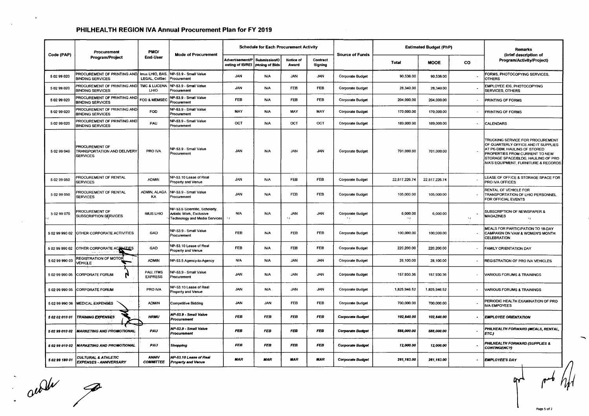|                | Procurement                                                             | PMO/                                    |                                                                                             |                                                             | <b>Schedule for Each Procurement Activity</b> |                             |                     |                                     |                       | <b>Estimated Budget (PhP)</b> |            | Remarks                                                                                                                                                                                                                 |
|----------------|-------------------------------------------------------------------------|-----------------------------------------|---------------------------------------------------------------------------------------------|-------------------------------------------------------------|-----------------------------------------------|-----------------------------|---------------------|-------------------------------------|-----------------------|-------------------------------|------------|-------------------------------------------------------------------------------------------------------------------------------------------------------------------------------------------------------------------------|
| Code (PAP)     | Program/Project                                                         | End-User                                | <b>Mode of Procurement</b>                                                                  | <b>Advertisement/P</b><br>osting of IB/REI   pening of Bids | Submission/O                                  | Notice of<br>Award          | Contract<br>Signing | <b>Source of Funds</b>              | <b>Total</b>          | <b>MOOE</b>                   | CO         | (brief description of<br>Program/Activity/Project)                                                                                                                                                                      |
| 5 02 99 020    | PROCUREMENT OF PRINTING AND<br><b>BINDING SERVICES</b>                  | Imus LHIO, BAS,<br><b>LEGAL, ColSec</b> | NP-53.9 - Small Value<br>Procurement                                                        | <b>JAN</b>                                                  | <b>N/A</b>                                    | <b>JAN</b>                  | <b>JAN</b>          | <b>Corporate Budget</b>             | 90,536.00             | 90.536.00                     |            | FORMS, PHOTOCOPYING SERVICES.<br><b>OTHERS</b>                                                                                                                                                                          |
| 5 02 99 020    | PROCUREMENT OF PRINTING AND<br><b>BINDING SERVICES</b>                  | <b>TMC &amp; LUCENA</b><br>LHIO         | NP-53.9 - Small Value<br>Procurement                                                        | <b>JAN</b>                                                  | N/A                                           | <b>FEB</b>                  | <b>FEB</b>          | <b>Corporate Budget</b>             | 28,340.00             | 28.340.00                     |            | EMPLOYEE IDS, PHOTOCOPYING<br><b>SERVICES, OTHERS</b>                                                                                                                                                                   |
| 5 02 99 020    | PROCUREMENT OF PRINTING AND<br><b>BINDING SERVICES</b>                  | FOD & MEMSEC                            | NP-53.9 - Small Value<br>Procurement                                                        | <b>FEB</b>                                                  | N/A                                           | FEB                         | FEB                 | <b>Corporate Budget</b>             | 204,000.00            | 204,000.00                    |            | PRINTING OF FORMS                                                                                                                                                                                                       |
| 5 02 99 020    | PROCUREMENT OF PRINTING AND<br><b>BINDING SERVICES</b>                  | <b>FOD</b>                              | NP-53.9 - Small Value<br>Procurement                                                        | <b>MAY</b>                                                  | <b>N/A</b>                                    | MAY                         | MAY                 | <b>Corporate Budget</b>             | 170,000.00            | 170,000.00                    |            | PRINTING OF FORMS                                                                                                                                                                                                       |
| 5 02 99 020    | PROCUREMENT OF PRINTING AND<br><b>BINDING SERVICES</b>                  | PAU                                     | NP-53.9 - Small Value<br>Procurement                                                        | <b>OCT</b>                                                  | N/A                                           | OCT                         | OCT                 | Corporate Budget                    | 189,000.00            | 189,000.00                    |            | <b>CALENDARS</b>                                                                                                                                                                                                        |
| 5 02 99 040    | <b>PROCUREMENT OF</b><br>TRANSPORTATION AND DELIVERY<br><b>SERVICES</b> | PRO IVA                                 | NP-53.9 - Small Value<br>Procurement                                                        | <b>JAN</b>                                                  | N/A                                           | <b>JAN</b>                  | <b>JAN</b>          | <b>Corporate Budget</b>             | 701,000.00            | 701,000.00                    |            | TRUCKING SERVICE FOR PROCUREMENT<br>OF QUARTERLY OFFICE AND IT SUPPLIES<br>AT PS-DBM, HAULING OF STORED<br>PROPERTIES FROM CURRENT TO NEW<br>STORAGE SPACE/BLDG, HAULING OF PRO<br>IVA'S EQUIPMENT, FURNITURE & RECORDS |
| 5 02 99 050    | PROCUREMENT OF RENTAL<br><b>SERVICES</b>                                | <b>ADMIN</b>                            | NP-53.10 Lease of Real<br>Property and Venue                                                | <b>JAN</b>                                                  | <b>N/A</b>                                    | FEB                         | FEB                 | <b>Corporate Budget</b>             | 22,517,226.74         | 22,517,226.74                 |            | LEASE OF OFFICE & STORAGE SPACE FOR<br>PRO IVA OFFICES                                                                                                                                                                  |
| 5 02 99 050    | PROCUREMENT OF RENTAL<br><b>SERVICES</b>                                | ADMIN, ALAGA<br>KA                      | NP-53.9 - Small Value<br>Procurement                                                        | <b>JAN</b>                                                  | <b>N/A</b>                                    | <b>FEB</b>                  | FEB                 | Corporate Budget                    | 105,000.00            | 105,000.00                    |            | RENTAL OF VEHICLE FOR<br>TRANSPORTATION OF LHIO PERSONNEL<br>FOR OFFICIAL EVENTS                                                                                                                                        |
| 5 02 99 070    | PROCUREMENT OF<br>SUBSCRIPTION SERVICES                                 | <b>IMUS LHIO</b>                        | NP-53.6 Scientific, Scholarly,<br>Artistic Work, Exclusive<br>Technology and Media Services | <b>N/A</b><br>$\lambda$                                     | <b>N/A</b>                                    | <b>JAN</b><br>$\mathcal{M}$ | JAN                 | <b>Corporate Budget</b><br>$\Delta$ | 6,000.00<br>$\lambda$ | 6,000.00                      | $\ddot{ }$ | SUBSCRIPTION OF NEWSPAPER &<br>MAGAZINES<br>$\mathcal{M}$                                                                                                                                                               |
|                | 5 02 99 990 02 OTHER CORPORATE ACTIVITIES                               | GAD                                     | NP-53.9 - Small Value<br>Procurement                                                        | <b>FEB</b>                                                  | <b>N/A</b>                                    | <b>FEB</b>                  | <b>FEB</b>          | <b>Corporate Budget</b>             | 100,000.00            | 100,000.00                    |            | <b>MEALS FOR PARTICIPATION TO 18-DAY</b><br>CAMPAIGN ON VAW & WOMEN'S MONTH<br>CELEBRATION                                                                                                                              |
| 5029999002     | OTHER CORPORATE ACTUATIES                                               | GAD                                     | NP-53.10 Lease of Real<br>Property and Venue                                                | <b>FEB</b>                                                  | <b>N/A</b>                                    | <b>FEB</b>                  | <b>FEB</b>          | Corporate Budget                    | 220,200.00            | 220,200.00                    |            | FAMILY ORIENTATION DAY                                                                                                                                                                                                  |
| 5 02 99 990 03 | REGISTRATION OF MOTOR<br>VEHICLE                                        | <b>ADMIN</b>                            | NP-53.5 Agency-to-Agency                                                                    | <b>N/A</b>                                                  | <b>N/A</b>                                    | <b>JAN</b>                  | <b>JAN</b>          | <b>Corporate Budget</b>             | 28,100.00             | 28,100.00                     |            | <b>REGISTRATION OF PRO IVA VEHICLES</b>                                                                                                                                                                                 |
|                | 5 02 99 990 05 CORPORATE FORUM                                          | PAU, ITMS<br><b>EXPRESS</b>             | NP-53.9 - Small Value<br>Procurement                                                        | <b>JAN</b>                                                  | N/A                                           | <b>JAN</b>                  | <b>JAN</b>          | <b>Corporate Budget</b>             | 157,930.36            | 157,930.36                    |            | <b>VARIOUS FORUMS &amp; TRAININGS</b>                                                                                                                                                                                   |
|                | 5 02 99 990 05 CORPORATE FORUM                                          | PRO IVA                                 | VP-53.10 Lease of Real<br>Property and Venue                                                | <b>JAN</b>                                                  | <b>N/A</b>                                    | <b>JAN</b>                  | <b>JAN</b>          | <b>Corporate Budget</b>             | 1,825,946.52          | 1,825,946.52                  | ٠          | <b>VARIOUS FORUMS &amp; TRAININGS</b>                                                                                                                                                                                   |
|                | 4 s.C<br>5 02 99 990 06 MEDICAL EXPENSES                                | <b>ADMIN</b>                            | Competitive Bidding                                                                         | <b>JAN</b>                                                  | <b>JAN</b>                                    | <b>FEB</b>                  | <b>FEB</b>          | <b>Corporate Budget</b>             | 700,000.00            | 700,000.00                    |            | PERIODIC HEALTH EXAMINATION OF PRO<br><b>IVA EMPOYEES</b>                                                                                                                                                               |
| 5 02 02 010 01 | <b>TRAINING EXPENSES</b>                                                | <b>HRMU</b>                             | NP-53.9 - Small Value<br>Procurement                                                        | <b>FEB</b>                                                  | <b>FEB</b>                                    | <b>FEB</b>                  | <b>FEB</b>          | <b>Corporate Budget</b>             | 102,640.00            | 102,640.00                    |            | <b>EMPLOYEE ORIENTATION</b>                                                                                                                                                                                             |
|                | 5 02 99 010 02 MARKETING AND PROMOTIONAL                                | PAU                                     | NP-53.9 - Small Value<br>Procurement                                                        | <b>FEB</b>                                                  | <b>FEB</b>                                    | <b>FEB</b>                  | <b>FEB</b>          | <b>Corporate Budget</b>             | 588,000.00            | 588,000.00                    |            | PHILHEALTH FORWARD (MEALS, RENTAL,<br>(ETC.)                                                                                                                                                                            |
| 5 02 99 010 02 | <b>MARKETING AND PROMOTIONAL</b>                                        | PAU                                     | Shopping                                                                                    | <b>FEB</b>                                                  | <b>FEB</b>                                    | <b>FEB</b>                  | <b>FEB</b>          | <b>Corporate Budget</b>             | 12,000.00             | 12,000.00                     |            | PHILHEALTH FORWARD (SUPPLIES &<br><b>CONTINGENCY)</b>                                                                                                                                                                   |
| 5 02 99 180 01 | <b>CULTURAL &amp; ATHLETIC</b><br><b>EXPENSES - ANNIVERSARY</b>         | ANNIV<br><b>COMMITTEE</b>               | NP-53.10 Lease of Real<br><b>Property and Venue</b>                                         | <b>MAR</b>                                                  | <b>MAR</b>                                    | <b>MAR</b>                  | <b>MAR</b>          | <b>Corporate Budget</b>             | 261,163.00            | 261,163.00                    |            | <b>EMPLOYEE'S DAY</b>                                                                                                                                                                                                   |

 $\alpha$   $\nu$   $\nu$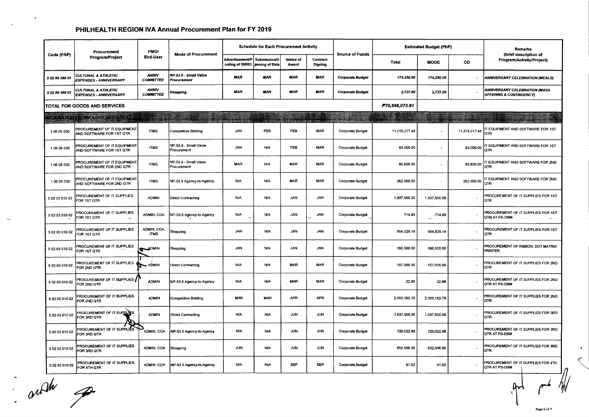|                | Procurement                                                       | PMO/                             |                                      |                                            | <b>Schedule for Each Procurement Activity</b> |                    |                            | <b>Source of Funds</b>  |                | <b>Estimated Budget (PhP)</b>  |                          | <b>Remarks</b>                                             |
|----------------|-------------------------------------------------------------------|----------------------------------|--------------------------------------|--------------------------------------------|-----------------------------------------------|--------------------|----------------------------|-------------------------|----------------|--------------------------------|--------------------------|------------------------------------------------------------|
| Code (PAP)     | Program/Project                                                   | End-User                         | <b>Mode of Procurement</b>           | <b>Advertisement/P</b><br>osting of IB/REI | Submission/O<br>pening of Bids                | Notice of<br>Award | Contract<br><b>Signing</b> |                         | Total          | <b>MOOE</b>                    | co                       | (brief description of<br>Program/Activity/Project)         |
| 5 02 99 180 01 | CULTURAL & ATHLETIC<br>EXPENSES - ANNIVERSARY                     | <b>ANNIV</b><br><b>COMMITTEE</b> | NP-53.9 - Small Value<br>Procurement | <b>MAR</b>                                 | <b>MAR</b>                                    | <b>MAR</b>         | <b>MAR</b>                 | <b>Corporate Budget</b> | 174,250.00     | 174,250.00                     | $\blacksquare$           | <b>ANNIVERSARY CELEBRATION (MEALS)</b>                     |
| 5 02 99 180 01 | <b>CULTURAL &amp; ATHLETIC</b><br><b>EXPENSES - ANNIVERSARY</b>   | <b>ANNIV</b><br><b>COMMITTEE</b> | Shopping                             | <b>MAR</b>                                 | <b>MAR</b>                                    | <b>MAR</b>         | <b>MAR</b>                 | <b>Corporate Budget</b> | 2,737.00       | 2,737.00                       |                          | ANNIVERSARY CELEBRATION (MASS<br>OFFERING & CONTINGENCY)   |
|                | <b>TOTAL FOR GOODS AND SERVICES</b>                               |                                  |                                      |                                            |                                               |                    |                            |                         | P70,868,073.91 |                                |                          |                                                            |
|                | NEDRA TONORE SINORDOVER SOURCES                                   |                                  |                                      |                                            |                                               |                    |                            |                         |                |                                |                          |                                                            |
| 1 06 05 030    | PROCUREMENT OF IT EQUIPMENT<br>AND SOFTWARE FOR 1ST QTR           | <b>ITMS</b>                      | Competitive Bidding                  | <b>JAN</b>                                 | FEB.                                          | FEB                | <b>MAR</b>                 | Corporate Budget        | 11,215,217.48  |                                | 11,215,217.48            | T EQUIPMENT AND SOFTWARE FOR 1ST<br>QTR                    |
| 1 06 05 030    | PROCUREMENT OF IT EQUIPMENT<br>AND SOFTWARE FOR 1ST QTR           | <b>ITMS</b>                      | NP-53.9 - Small Value<br>Procurement | <b>JAN</b>                                 | <b>N/A</b>                                    | <b>FEB</b>         | <b>MAR</b>                 | <b>Corporate Budget</b> | 63,000.00      | $\sim$                         | 63,000.00                | <b>TEQUIPMENT AND SOFTWARE FOR 1ST</b><br>QTR              |
| 1 06 05 030    | PROCUREMENT OF IT EQUIPMENT<br>AND SOFTWARE FOR 2ND QTR           | <b>ITMS</b>                      | NP-53.9 - Small Value<br>Procurement | <b>MAR</b>                                 | <b>N/A</b>                                    | <b>MAR</b>         | <b>MAR</b>                 | <b>Corporate Budget</b> | 80,850.00      | $\sim$                         | 80,850.00                | T EQUIPMENT AND SOFTWARE FOR 2ND<br>QTR                    |
| 1 06 05 030    | PROCUREMENT OF IT EQUIPMENT<br>AND SOFTWARE FOR 2ND QTR           | <b>ITMS</b>                      | NP-53.5 Agency-to-Agency             | <b>N/A</b>                                 | <b>N/A</b>                                    | <b>MAR</b>         | <b>MAR</b>                 | Corporate Budget        | 262,500.00     | $\sim$                         | 262,500.00               | <b>T EQUIPMENT AND SOFTWARE FOR 2ND</b><br>QTR             |
| 5 02 03 010 02 | PROCUREMENT OF IT SUPPLIES<br>FOR 1ST QTR                         | <b>ADMIN</b>                     | <b>Direct Contracting</b>            | <b>N/A</b>                                 | <b>N/A</b>                                    | <b>JAN</b>         | <b>JAN</b>                 | <b>Corporate Budget</b> | 1,997,500.00   | 1,997,500.00                   |                          | PROCUREMENT OF IT SUPPLIES FOR 1ST<br>QTR                  |
| 5 02 03 010 02 | PROCUREMENT OF IT SUPPLIES<br>FOR 1ST QTR<br>$\ddot{\phantom{1}}$ | ADMIN, COA                       | NP-53.5 Agency-to-Agency             | N/A<br>$\Delta$                            | <b>N/A</b>                                    | <b>JAN</b>         | <b>JAN</b>                 | Corporate Budget        | 714.85         | 714.85<br>$\ddot{\phantom{1}}$ |                          | PROCUREMENT OF IT SUPPLIES FOR 1ST<br>QTR AT PS-DBM        |
| 5 02 03 010 02 | PROCUREMENT OF IT SUPPLIES<br>FOR 1ST OTR                         | ADMIN, COA,<br><b>ITMS</b>       | Shopping                             | JAN                                        | <b>N/A</b>                                    | <b>JAN</b>         | <b>JAN</b>                 | <b>Corporate Budget</b> | 954,529.14     | 954,529.14                     |                          | PROCUREMENT OF IT SUPPLIES FOR 1ST<br>QTR                  |
| 5 02 03 010 02 | PROCUREMENT OF IT SUPPLIES<br>FOR 1ST QTR                         | <b>ADMIN</b><br>∝                | Shopping                             | <b>JAN</b>                                 | N/A                                           | <b>JAN</b>         | <b>JAN</b>                 | Corporate Budget        | 166,500.00     | 166,500.00                     |                          | <b>PROCUREMENT OF RIBBON, DOT MATRIX</b><br><b>PRINTER</b> |
| 5 02 03 010 02 | PROCUREMENT OF IT SUPPLIES<br>FOR 2ND QTR                         | <b>ADMIN</b>                     | <b>Direct Contracting</b>            | <b>N/A</b>                                 | <b>N/A</b>                                    | <b>MAR</b>         | <b>MAR</b>                 | <b>Corporate Budget</b> | 157,500.00     | 157,500.00                     |                          | PROCUREMENT OF IT SUPPLIES FOR 2ND<br>QTR                  |
| 5 02 03 010 02 | PROCUREMENT OF IT SUPPLIES<br>FOR 2ND QTR                         | <b>ADMIN</b>                     | NP-53.5 Agency-to-Agency             | <b>N/A</b>                                 | <b>N/A</b>                                    | <b>MAR</b>         | <b>MAR</b>                 | <b>Corporate Budget</b> | 22.88          | 22.88                          |                          | PROCUREMENT OF IT SUPPLIES FOR 2ND<br>QTR AT PS-DBM        |
| 5020301002     | PROCUREMENT OF IT SUPPLIES<br>FOR 2ND QTR                         | <b>ADMIN</b>                     | Competitive Bidding                  | <b>MAR</b>                                 | <b>MAR</b>                                    | <b>APR</b>         | <b>APR</b>                 | <b>Corporate Budget</b> | 2,353,162.70   | 2,353,162.70                   |                          | PROCUREMENT OF IT SUPPLIES FOR 2ND<br>QTR                  |
| 5 02 03 010 02 | PROCUREMENT OF IT SUPPLIES<br>FOR 3RD OTR                         | <b>ADMIN</b>                     | <b>Direct Contracting</b>            | <b>N/A</b>                                 | <b>N/A</b>                                    | <b>JUN</b>         | <b>JUN</b>                 | <b>Corporate Budget</b> | 1,037,500.00   | 1,037,500.00                   | $\overline{\phantom{a}}$ | PROCUREMENT OF IT SUPPLIES FOR 3RD<br>QTR                  |
| 5 02 03 010 02 | PROCUREMENT OF IT SUPPLIES<br>FOR 3RD QTR                         | ADMIN, COA                       | NP-53.5 Agency-to-Agency             | <b>N/A</b>                                 | <b>N/A</b>                                    | <b>JUN</b>         | <b>JUN</b>                 | Corporate Budget        | 720,022.88     | 720,022.88                     |                          | PROCUREMENT OF IT SUPPLIES FOR 3RD<br><b>OTR AT PS-DBM</b> |
| 5020301002     | PROCUREMENT OF IT SUPPLIES<br>FOR 3RD QTR                         | ADMIN, COA                       | Shopping                             | <b>JUN</b>                                 | <b>N/A</b>                                    | <b>JUN</b>         | <b>JUN</b>                 | Corporate Budget        | 852,506.00     | 852,506.00                     | $\blacksquare$           | PROCUREMENT OF IT SUPPLIES FOR 3RD<br>OTR                  |
| 5 02 03 010 02 | PROCUREMENT OF IT SUPPLIES<br>FOR 4TH QTR                         | ADMIN, COA                       | NP-53.5 Agency-to-Agency             | <b>N/A</b>                                 | <b>N/A</b>                                    | <b>SEP</b>         | <b>SEP</b>                 | <b>Corporate Budget</b> | 91.52          | 91.52                          |                          | PROCUREMENT OF IT SUPPLIES FOR 4TH<br><b>QTR AT PS-DBM</b> |

out p

 $\Lambda$ 

 $\ddot{\phantom{a}}$ 

 $\rightarrow$   $\epsilon$ 

 $\mathsf{A}$ 

 $\zeta$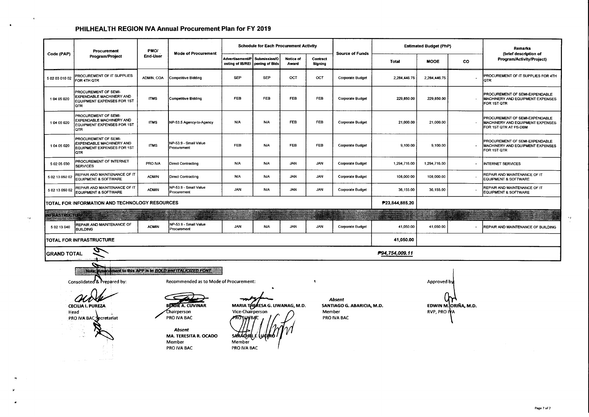$\bullet$ 

 $\Delta T$ 

 $\bullet$ 

|                       | Procurement                                                                                                                                                     | <b>PMO/</b>  |                                                                                                                                                                            |                                                               | <b>Schedule for Each Procurement Activity</b> |                           |                                |                                                     |                | <b>Estimated Budget (PhP)</b>      |                      | <b>Remarks</b>                                                                              |
|-----------------------|-----------------------------------------------------------------------------------------------------------------------------------------------------------------|--------------|----------------------------------------------------------------------------------------------------------------------------------------------------------------------------|---------------------------------------------------------------|-----------------------------------------------|---------------------------|--------------------------------|-----------------------------------------------------|----------------|------------------------------------|----------------------|---------------------------------------------------------------------------------------------|
| Code (PAP)            | Program/Project                                                                                                                                                 | End-User     | <b>Mode of Procurement</b>                                                                                                                                                 | Advertisement/P<br>osting of IB/REI                           | Submission/O<br>pening of Bids                | <b>Notice of</b><br>Award | Contract<br>Signing            | <b>Source of Funds</b>                              | <b>Total</b>   | <b>MOOE</b>                        | <b>CO</b>            | (brief description of<br>Program/Activity/Project)                                          |
| 5 02 03 010 02        | PROCUREMENT OF IT SUPPLIES<br>FOR 4TH OTR                                                                                                                       | ADMIN, COA   | Competitive Bidding                                                                                                                                                        | <b>SEP</b>                                                    | <b>SEP</b>                                    | OCT                       | OCT                            | <b>Corporate Budget</b>                             | 2,284,446.75   | 2,284,446.75                       |                      | PROCUREMENT OF IT SUPPLIES FOR 4TH<br>QTR                                                   |
| 104 05 020            | PROCUREMENT OF SEMI-<br>EXPENDABLE MACHINERY AND<br>EQUIPMENT EXPENSES FOR 1ST<br>QTR                                                                           | <b>ITMS</b>  | Competitive Bidding                                                                                                                                                        | <b>FEB</b>                                                    | FEB                                           | FEB                       | <b>FEB</b>                     | <b>Corporate Budget</b>                             | 229,850.00     | 229 850.00                         | $\alpha$             | PROCUREMENT OF SEMI-EXPENDABLE<br><b>MACHINERY AND EQUIPMENT EXPENSES</b><br>FOR 1ST QTR    |
| 104 05 020            | PROCUREMENT OF SEMI-<br>EXPENDABLE MACHINERY AND<br>EQUIPMENT EXPENSES FOR 1ST<br><b>QTR</b>                                                                    | <b>ITMS</b>  | NP-53.5 Agency-to-Agency                                                                                                                                                   | <b>N/A</b>                                                    | <b>N/A</b>                                    | <b>FEB</b>                | <b>FEB</b>                     | <b>Corporate Budget</b>                             | 21,000.00      | 21,000.00                          | $\alpha$             | PROCUREMENT OF SEMI-EXPENDABLE<br>MACHINERY AND EQUIPMENT EXPENSES<br>FOR 1ST QTR AT PS-DBM |
| 1 04 05 020           | PROCUREMENT OF SEMI-<br>EXPENDABLE MACHINERY AND<br>EQUIPMENT EXPENSES FOR 1ST<br>QTR                                                                           | <b>ITMS</b>  | NP-53.9 - Small Value<br>Procurement                                                                                                                                       | <b>FEB</b>                                                    | <b>N/A</b>                                    | FEB                       | <b>FEB</b>                     | <b>Corporate Budget</b>                             | 9,100.00       | 9,100.00                           | $\ddot{\phantom{a}}$ | PROCUREMENT OF SEMI-EXPENDABLE<br>MACHINERY AND EQUIPMENT EXPENSES<br>FOR 1ST QTR           |
| 5 02 05 030           | PROCUREMENT OF INTERNET<br><b>SERVICES</b>                                                                                                                      | PRO IVA      | <b>Direct Contracting</b>                                                                                                                                                  | <b>N/A</b>                                                    | N/A                                           | <b>JAN</b>                | <b>JAN</b>                     | <b>Corporate Budget</b>                             | 1,294,716.00   | 1,294,716.00                       | $\bullet$            | INTERNET SERVICES                                                                           |
| 5 02 13 050 02        | REPAIR AND MAINTENANCE OF IT<br>EQUIPMENT & SOFTWARE                                                                                                            | <b>ADMIN</b> | <b>Direct Contracting</b>                                                                                                                                                  | <b>N/A</b>                                                    | N/A                                           | <b>JAN</b>                | <b>JAN</b>                     | <b>Corporate Budget</b>                             | 108,000.00     | 108,000.00                         |                      | REPAIR AND MAINTENANCE OF IT<br>EQUIPMENT & SOFTWARE                                        |
| 5 02 13 050 02        | REPAIR AND MAINTENANCE OF IT<br><b>EQUIPMENT &amp; SOFTWARE</b>                                                                                                 | <b>ADMIN</b> | NP-53.9 - Small Value<br>Procurement                                                                                                                                       | <b>JAN</b>                                                    | <b>N/A</b>                                    | <b>JAN</b>                | <b>JAN</b>                     | <b>Corporate Budget</b>                             | 36,155.00      | 36,155.00                          |                      | REPAIR AND MAINTENANCE OF IT<br>EQUIPMENT & SOFTWARE                                        |
|                       | TOTAL FOR INFORMATION AND TECHNOLOGY RESOURCES                                                                                                                  |              |                                                                                                                                                                            |                                                               |                                               |                           |                                |                                                     | P23,844,885.20 |                                    |                      |                                                                                             |
| <b>INFRASTRUCTURE</b> |                                                                                                                                                                 |              |                                                                                                                                                                            |                                                               |                                               |                           |                                |                                                     |                | <u>a sa</u>                        |                      |                                                                                             |
| 5 02 13 040           | REPAIR AND MAINTENANCE OF<br><b>BUILDING</b>                                                                                                                    | <b>ADMIN</b> | NP-53.9 - Small Value<br>Procurement                                                                                                                                       | <b>JAN</b>                                                    | <b>N/A</b>                                    | <b>JAN</b>                | <b>JAN</b>                     | <b>Corporate Budget</b>                             | 41,050.00      | 41,050.00                          |                      | REPAIR AND MAINTENANCE OF BUILDING                                                          |
|                       | TOTAL FOR INFRASTRUCTURE                                                                                                                                        |              |                                                                                                                                                                            |                                                               |                                               |                           |                                |                                                     | 41,050.00      |                                    |                      |                                                                                             |
| <b>GRAND TOTAL</b>    |                                                                                                                                                                 |              |                                                                                                                                                                            |                                                               |                                               |                           |                                |                                                     | P94,754,009.11 |                                    |                      |                                                                                             |
|                       | Note: Amendment to this APP is in BOLD and ITALICIZED FONT<br>Consolidated & Prepared by:<br><b>CECILIA I. PUREZA</b><br>Head<br><b>PRO IVA BAC Secretariat</b> |              | Recommended as to Mode of Procurement:<br><b>BERTHE A. CUVINAR</b><br>Chairperson<br>PRO IVA BAC<br><b>Absent</b><br><b>MA. TERESITA R. OCADO</b><br>Member<br>PRO IVA BAC | Vice-Chairperson<br><b>sarachiel</b><br>Member<br>PRO IVA BAC | MARIA THERESA G. LIWANAG, M.D.                |                           | $\ddot{\phantom{1}}$<br>Member | Absent<br>SANTIAGO G. ABARICIA, M.D.<br>PRO IVA BAC |                | Approved by<br><b>RVP. PRO IVA</b> | EDWIN M. ORIÑA, M.D. |                                                                                             |

 $\Delta\phi$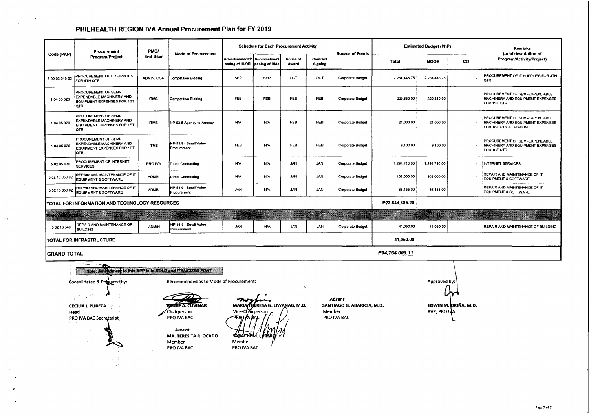$\mathbf{t}$ 

 $\sim 10^{-11}$   ${\rm K}$ 

 $\propto$ 

|                      | Procurement                                                                                                                                                                                      | PMO/         |                                                                                                                                                              |                                                          | <b>Schedule for Each Procurement Activity</b>      |                    |                     |                                                     |                | <b>Estimated Budget (PhP)</b>       |                      | <b>Remarks</b>                                                                              |
|----------------------|--------------------------------------------------------------------------------------------------------------------------------------------------------------------------------------------------|--------------|--------------------------------------------------------------------------------------------------------------------------------------------------------------|----------------------------------------------------------|----------------------------------------------------|--------------------|---------------------|-----------------------------------------------------|----------------|-------------------------------------|----------------------|---------------------------------------------------------------------------------------------|
| Code (PAP)           | Program/Project                                                                                                                                                                                  | End-User     | <b>Mode of Procurement</b>                                                                                                                                   | Advertisement/P<br>osting of IB/REI                      | Submission/O<br>pening of Bids                     | Notice of<br>Award | Contract<br>Signing | <b>Source of Funds</b>                              | Total          | <b>MOOE</b>                         | <b>CO</b>            | (brief description of<br>Program/Activity/Project)                                          |
| 5 02 03 010 02       | PROCUREMENT OF IT SUPPLIES<br>FOR 4TH QTR                                                                                                                                                        | ADMIN, COA   | <b>Competitive Bidding</b>                                                                                                                                   | <b>SEP</b>                                               | <b>SEP</b>                                         | OCT                | OCT                 | <b>Corporate Budget</b>                             | 2,284,446.75   | 2,284,446.75                        |                      | PROCUREMENT OF IT SUPPLIES FOR 4TH<br>QTR                                                   |
| 1 04 05 020          | PROCUREMENT OF SEMI-<br>EXPENDABLE MACHINERY AND<br>EQUIPMENT EXPENSES FOR 1ST<br>QTR                                                                                                            | <b>ITMS</b>  | <b>Competitive Bidding</b>                                                                                                                                   | <b>FEB</b>                                               | FEB                                                | <b>FEB</b>         | <b>FEB</b>          | <b>Corporate Budget</b>                             | 229,850.00     | 229,850.00                          |                      | PROCUREMENT OF SEMI-EXPENDABLE<br>MACHINERY AND EQUIPMENT EXPENSES<br>FOR 1ST QTR           |
| 1 04 05 020          | PROCUREMENT OF SEMI-<br>EXPENDABLE MACHINERY AND<br>EQUIPMENT EXPENSES FOR 1ST<br>QTR                                                                                                            | <b>ITMS</b>  | NP-53.5 Agency-to-Agency                                                                                                                                     | <b>N/A</b>                                               | <b>N/A</b>                                         | <b>FEB</b>         | <b>FEB</b>          | <b>Corporate Budget</b>                             | 21,000.00      | 21,000.00                           |                      | PROCUREMENT OF SEMI-EXPENDABLE<br>MACHINERY AND EQUIPMENT EXPENSES<br>FOR 1ST QTR AT PS-DBM |
| 1 04 05 020          | PROCUREMENT OF SEMI-<br>EXPENDABLE MACHINERY AND<br>EQUIPMENT EXPENSES FOR 1ST<br>QTR                                                                                                            | <b>ITMS</b>  | NP-53.9 - Small Value<br>Procurement                                                                                                                         | <b>FEB</b>                                               | <b>N/A</b>                                         | FEB                | <b>FEB</b>          | <b>Corporate Budget</b>                             | 9,100.00       | 9,100.00                            |                      | PROCUREMENT OF SEMI-EXPENDABLE<br>MACHINERY AND EQUIPMENT EXPENSES<br>FOR 1ST QTR           |
| 5 02 05 030          | PROCUREMENT OF INTERNET<br><b>SERVICES</b>                                                                                                                                                       | PRO IVA      | <b>Direct Contracting</b>                                                                                                                                    | <b>N/A</b>                                               | <b>N/A</b>                                         | <b>JAN</b>         | JAN                 | Corporate Budget                                    | 1,294,716.00   | 1,294,716.00                        |                      | INTERNET SERVICES                                                                           |
| 5 02 13 050 02       | REPAIR AND MAINTENANCE OF IT<br>EQUIPMENT & SOFTWARE                                                                                                                                             | <b>ADMIN</b> | <b>Direct Contracting</b>                                                                                                                                    | <b>N/A</b>                                               | <b>N/A</b>                                         | JAN                | <b>JAN</b>          | <b>Corporate Budget</b>                             | 108,000.00     | 108,000.00                          |                      | REPAIR AND MAINTENANCE OF IT<br><b>EQUIPMENT &amp; SOFTWARE</b>                             |
| 5 02 13 050 02       | REPAIR AND MAINTENANCE OF IT<br>EQUIPMENT & SOFTWARE                                                                                                                                             | <b>ADMIN</b> | NP-53.9 - Small Value<br>Procurement                                                                                                                         | JAN                                                      | N/A                                                | <b>JAN</b>         | <b>JAN</b>          | Corporate Budget                                    | 36,155.00      | 36,155.00                           |                      | REPAIR AND MAINTENANCE OF IT<br><b>EQUIPMENT &amp; SOFTWARE</b>                             |
|                      | TOTAL FOR INFORMATION AND TECHNOLOGY RESOURCES                                                                                                                                                   |              |                                                                                                                                                              |                                                          |                                                    |                    |                     |                                                     | P23,844,885.20 |                                     |                      |                                                                                             |
| <b>AFRASTRUSTURE</b> |                                                                                                                                                                                                  |              |                                                                                                                                                              |                                                          |                                                    |                    |                     | X                                                   |                |                                     |                      |                                                                                             |
| 5 02 13 040          | REPAIR AND MAINTENANCE OF<br><b>BUILDING</b>                                                                                                                                                     | <b>ADMIN</b> | NP-53.9 - Small Value<br>Procurement                                                                                                                         | <b>JAN</b>                                               | <b>N/A</b>                                         | <b>JAN</b>         | <b>JAN</b>          | <b>Corporate Budget</b>                             | 41,050.00      | 41,050.00                           |                      | REPAIR AND MAINTENANCE OF BUILDING                                                          |
|                      | TOTAL FOR INFRASTRUCTURE                                                                                                                                                                         |              |                                                                                                                                                              |                                                          |                                                    |                    |                     |                                                     | 41,050.00      |                                     |                      |                                                                                             |
| <b>GRAND TOTAL</b>   |                                                                                                                                                                                                  |              |                                                                                                                                                              |                                                          |                                                    |                    |                     |                                                     | P94,754,009.11 |                                     |                      |                                                                                             |
|                      | Note: Amendment to this APP is in <b>BOLD</b> and ITALICIZED FONT<br>Consolidated & Propared by:<br>1200<br><b>College</b><br><b>CECILIA I. PUREZA</b><br>Head<br><b>PRO IVA BAC Secretariat</b> |              | Recommended as to Mode of Procurement:<br><b>BENJIE A. CUVINAR</b><br>Chairperson<br>PRO IVA BAC<br>Absent<br>MA. TERESITA R. OCADO<br>Member<br>PRO IVA BAC | <b>MARV</b><br>Vice-Chairperson<br>Member<br>PRO IVA BAC | <b>THERESA G. LIWANAG, M.D.</b><br>SARACHEM. LUGEF |                    | Member              | Absent<br>SANTIAGO G. ABARICIA, M.D.<br>PRO IVA BAC |                | Approved by:<br><b>RVP. PRO IVA</b> | EDWIN M. DRIÑA, M.D. |                                                                                             |

Page 7 of 7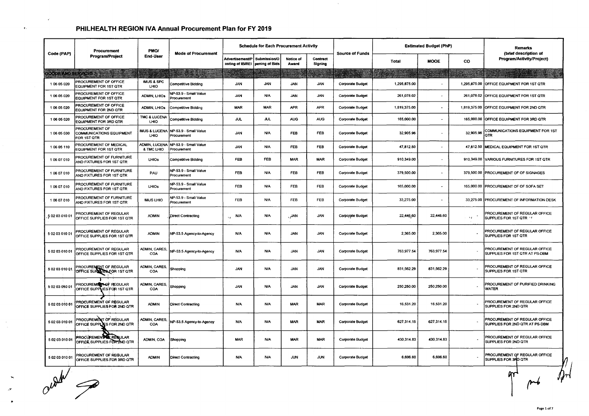|                              | Procurement                                                      | PMO/                             | <b>Mode of Procurement</b>                          |                                                           | <b>Schedule for Each Procurement Activity</b> |                    |                     | <b>Source of Funds</b>  |              | <b>Estimated Budget (PhP)</b> |              | <b>Remarks</b><br>(brief description of                         |
|------------------------------|------------------------------------------------------------------|----------------------------------|-----------------------------------------------------|-----------------------------------------------------------|-----------------------------------------------|--------------------|---------------------|-------------------------|--------------|-------------------------------|--------------|-----------------------------------------------------------------|
| Code (PAP)                   | Program/Project                                                  | <b>End-User</b>                  |                                                     | <b>Advertisement/P</b><br>osting of IB/REI pening of Bids | Submission/O                                  | Notice of<br>Award | Contract<br>Signing |                         | <b>Total</b> | <b>MOOE</b>                   | <b>CO</b>    | Program/Activity/Project)                                       |
| <b>GOODS AND SERVICES AN</b> |                                                                  |                                  |                                                     |                                                           |                                               |                    |                     |                         |              |                               |              |                                                                 |
| 1 06 05 020                  | PROCUREMENT OF OFFICE<br>EQUIPMENT FOR 1ST QTR                   | <b>IMUS &amp; SPC</b><br>LHIO    | Competitive Bidding                                 | <b>JAN</b>                                                | <b>JAN</b>                                    | <b>JAN</b>         | JAN                 | <b>Corporate Budget</b> | 1,295,875.00 |                               | 1,295,875.00 | OFFICE EQUIPMENT FOR 1ST QTR                                    |
| 1 06 05 020                  | PROCUREMENT OF OFFICE<br><b>EQUIPMENT FOR 1ST QTR</b>            | <b>ADMIN, LHIOS</b>              | NP-53.9 - Small Value<br>Procurement                | <b>JAN</b>                                                | <b>N/A</b>                                    | <b>JAN</b>         | <b>JAN</b>          | Corporate Budget        | 261,078.02   | $\ddot{\phantom{0}}$          | 261,078.02   | OFFICE EQUIPMENT FOR 1ST QTR                                    |
| 1 06 05 020                  | PROCUREMENT OF OFFICE<br>EQUIPMENT FOR 2ND QTR                   | <b>ADMIN, LHIOs</b>              | <b>Competitive Bidding</b>                          | <b>MAR</b>                                                | <b>MAR</b>                                    | <b>APR</b>         | <b>APR</b>          | Corporate Budget        | 1,819,375.00 | $\sim$                        | 1,819,375.00 | OFFICE EQUIPMENT FOR 2ND QTR                                    |
| 1 06 05 020                  | PROCUREMENT OF OFFICE<br>EQUIPMENT FOR 3RD QTR                   | TMC & LUCENA<br>LHIO             | Competitive Bidding                                 | JUL                                                       | JUL.                                          | <b>AUG</b>         | <b>AUG</b>          | <b>Corporate Budget</b> | 165,000.00   | $\tilde{\phantom{a}}$         | 165,000.00   | OFFICE EQUIPMENT FOR 3RD QTR                                    |
| 1 06 05 030                  | <b>PROCUREMENT OF</b><br>COMMUNICATIONS EQUIPMENT<br>FOR 1ST QTR | <b>IMUS &amp; LUCENA</b><br>LHIO | NP-53.9 - Small Value<br>Procurement                | <b>JAN</b>                                                | <b>N/A</b>                                    | FEB                | <b>FEB</b>          | <b>Corporate Budget</b> | 32,905.96    | $\ddot{\phantom{1}}$          | 32,905.96    | COMMUNICATIONS EQUIPMENT FOR 1ST<br><b>QTR</b>                  |
| 1 06 05 110                  | PROCUREMENT OF MEDICAL<br>EQUIPMENT FOR 1ST QTR                  | & TMC LHIO                       | ADMIN, LUCENA INP-53.9 - Small Value<br>Procurement | <b>JAN</b>                                                | N/A                                           | <b>FEB</b>         | FEB                 | Corporate Budget        | 47,812.50    |                               | 47,812.50    | MEDICAL EQUIPMENT FOR 1ST QTR                                   |
| 106 07 010                   | <b>PROCUREMENT OF FURNITURE</b><br>AND FIXTURES FOR 1ST QTR      | LHIOS                            | <b>Competitive Bidding</b>                          | FEB                                                       | FEB                                           | <b>MAR</b>         | <b>MAR</b>          | Corporate Budget        | 910,349.00   | $\bullet$                     |              | 910,349.00 VARIOUS FURNITURES FOR 1ST QTR                       |
| 106 07 010                   | PROCUREMENT OF FURNITURE<br>AND FIXTURES FOR 1ST QTR             | PAU                              | NP-53.9 - Small Value<br>Procurement                | <b>FEB</b>                                                | <b>N/A</b>                                    | FEB                | FEB                 | <b>Corporate Budget</b> | 379,500.00   |                               | 379,500.00   | PROCUREMENT OF OF SIGNAGES                                      |
| 1 06 07 010                  | PROCUREMENT OF FURNITURE<br>AND FIXTURES FOR 1ST QTR             | LHIOS                            | NP-53.9 - Small Value<br>Procurement                | <b>FEB</b>                                                | <b>N/A</b>                                    | <b>FEB</b>         | <b>FEB</b>          | Corporate Budget        | 165,000.00   | $\overline{a}$                | 165,000.00   | <b>PROCUREMENT OF OF SOFA SET</b>                               |
| 106 07 010                   | PROCUREMENT OF FURNITURE<br>AND FIXTURES FOR 1ST QTR             | <b>IMUS LHIO</b>                 | NP-53.9 - Small Value<br>Procurement                | <b>FEB</b>                                                | N/A                                           | FEB                | <b>FEB</b>          | <b>Corporate Budget</b> | 33,275.00    | $\blacksquare$                | 33,275.00    | PROCUREMENT OF INFORMATION DESK                                 |
| 5020301001                   | PROCUREMENT OF REGULAR<br>OFFICE SUPPLIES FOR 1ST QTR            | <b>ADMIN</b>                     | Direct Contracting                                  | <b>N/A</b><br>$\Delta\phi$                                | <b>N/A</b>                                    | , AN,              | <b>JAN</b>          | <b>Corporate Budget</b> | 22,446,60    | 22,446.60                     | 57.          | PROCUREMENT OF REGULAR OFFICE<br>SUPPLIES FOR 1ST QTR V         |
| 5 02 03 010 01               | PROCUREMENT OF REGULAR<br>OFFICE SUPPLIES FOR 1ST QTR            | <b>ADMIN</b>                     | NP-53.5 Agency-to-Agency                            | N/A                                                       | <b>N/A</b>                                    | <b>JAN</b>         | <b>JAN</b>          | <b>Corporate Budget</b> | 2,365.00     | 2,365.00                      |              | PROCUREMENT OF REGULAR OFFICE<br>SUPPLIES FOR 1ST QTR           |
| 5 02 03 010 01               | PROCUREMENT OF REGULAR<br>OFFICE SUPPLIES FOR 1ST QTR            | ADMIN, CARES,<br>COA             | NP-53.5 Agency-to-Agency                            | <b>N/A</b>                                                | <b>N/A</b>                                    | <b>JAN</b>         | <b>JAN</b>          | <b>Corporate Budget</b> | 763,977.54   | 763,977.54                    |              | PROCUREMENT OF REGULAR OFFICE<br>SUPPLIES FOR 1ST QTR AT PS-DBM |
| 5 02 03 010 01               | <b>PROCUREMENT OF REGULAR<br/> OFFICE SUPPLIES FOR 1ST QTR</b>   | ADMIN, CARES,<br>COA             | Shopping                                            | <b>JAN</b>                                                | N/A                                           | <b>JAN</b>         | <b>JAN</b>          | <b>Corporate Budget</b> | 831,562.29   | 831,562.29                    |              | PROCUREMENT OF REGULAR OFFICE<br>SUPPLIES FOR 1ST QTR           |
| 5020304001                   | PROCUREMENT OF REGULAR<br>OFFICE SUPPLIES FOR 1ST QTR            | ADMIN, CARES,<br>COA             | Shopping                                            | JAN.                                                      | <b>N/A</b>                                    | <b>JAN</b>         | <b>JAN</b>          | Corporate Budget        | 250,250.00   | 250,250.00                    |              | PROCUREMENT OF PURIFIED DRINKING<br><b>WATER</b>                |
| 5020301001                   | PROCUREMENT OF REGULAR<br>OFFICE SUPPLIES FOR 2ND QTR            | <b>ADMIN</b>                     | <b>Direct Contracting</b>                           | N/A                                                       | N/A                                           | <b>MAR</b>         | <b>MAR</b>          | Corporate Budget        | 16,531.20    | 16,531.20                     |              | PROCUREMENT OF REGULAR OFFICE<br>SUPPLIES FOR 2ND QTR           |
| 5020301001                   | PROCUREMENT OF REGULAR<br>OFFICE SUPPLIES FOR 2ND OTR            | ADMIN, CARES,<br><b>COA</b>      | NP-53.5 Agency-to-Agency                            | <b>N/A</b>                                                | <b>N/A</b>                                    | <b>MAR</b>         | <b>MAR</b>          | Corporate Budget        | 627, 314.15  | 627,314.15                    |              | PROCUREMENT OF REGULAR OFFICE<br>SUPPLIES FOR 2ND QTR AT PS-DBM |
| 5020301001                   | <b>PROCUREMENT &amp; REQULAR</b><br>OFFICE SUPPLIES FOR ZND QTR  | ADMIN, COA                       | Shopping                                            | <b>MAR</b>                                                | <b>N/A</b>                                    | <b>MAR</b>         | <b>MAR</b>          | Corporate Budget        | 430, 314.83  | 430,314.83                    |              | PROCUREMENT OF REGULAR OFFICE<br><b>SUPPLIES FOR 2ND QTR</b>    |
| 5020301001                   | PROCUREMENT OF REGULAR<br>OFFICE SUPPLIES FOR 3RD QTR            | <b>ADMIN</b>                     | <b>Direct Contracting</b>                           | <b>N/A</b>                                                | <b>N/A</b>                                    | <b>JUN</b>         | <b>JUN</b>          | <b>Corporate Budget</b> | 6,606.60     | 6,606.60                      |              | PROCUREMENT OF REGULAR OFFICE<br>SUPPLIES FOR 3RD QTR           |

 $\sim$ 

outlet a

 $\blacktriangleright$ 

 $\mathcal{P}$  $\bullet$   $\epsilon^{\prime}$ 

 $\pmb{\ast}$ 

 $\overline{M}$ 

 $\mathcal{H}$ 

 $\phi$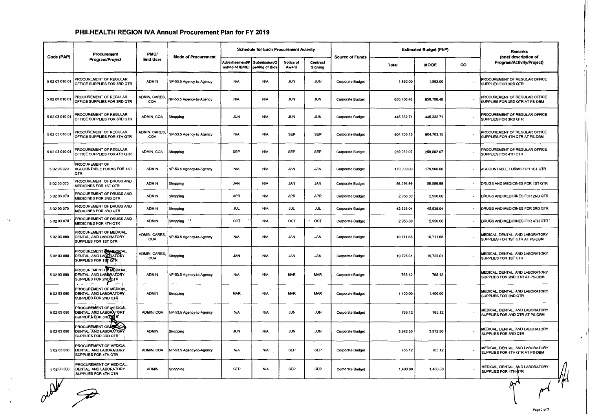|                | Procurement                                                                      | PMO/                        |                            |                                     | <b>Schedule for Each Procurement Activity</b> |                    |                     |                         |            | <b>Estimated Budget (PhP)</b> |           | <b>Remarks</b>                                                    |
|----------------|----------------------------------------------------------------------------------|-----------------------------|----------------------------|-------------------------------------|-----------------------------------------------|--------------------|---------------------|-------------------------|------------|-------------------------------|-----------|-------------------------------------------------------------------|
| Code (PAP)     | <b>Program/Project</b>                                                           | End-User                    | <b>Mode of Procurement</b> | Advertisement/P<br>osting of IB/REI | Submission/O<br>pening of Bids                | Notice of<br>Award | Contract<br>Signing | <b>Source of Funds</b>  | Total      | <b>MOOE</b>                   | <b>CO</b> | (brief description of<br>Program/Activity/Project)                |
| 5 02 03 010 01 | PROCUREMENT OF REGULAR<br>OFFICE SUPPLIES FOR 3RD QTR                            | <b>ADMIN</b>                | NP-53.5 Agency-to-Agency   | <b>N/A</b>                          | <b>N/A</b>                                    | <b>JUN</b>         | JUN                 | Corporate Budget        | 1,892.00   | 1,892.00                      |           | PROCUREMENT OF REGULAR OFFICE<br>SUPPLIES FOR 3RD QTR             |
| 5 02 03 010 01 | PROCUREMENT OF REGULAR<br>OFFICE SUPPLIES FOR 3RD QTR                            | ADMIN, CARES,<br>COA        | NP-53.5 Agency-to-Agency   | N/A                                 | <b>N/A</b>                                    | <b>JUN</b>         | <b>JUN</b>          | <b>Corporate Budget</b> | 650,706.46 | 650,706.46                    |           | PROCUREMENT OF REGULAR OFFICE<br>SUPPLIES FOR 3RD QTR AT PS-DBM   |
| 5 02 03 010 01 | PROCUREMENT OF REGULAR<br>OFFICE SUPPLIES FOR 3RD QTR                            | ADMIN, COA                  | Shopping                   | <b>JUN</b>                          | <b>N/A</b>                                    | <b>JUN</b>         | <b>JUN</b>          | <b>Corporate Budget</b> | 445,332.71 | 445,332.71                    |           | PROCUREMENT OF REGULAR OFFICE<br>SUPPLIES FOR 3RD OTR             |
| 5 02 03 010 01 | PROCUREMENT OF REGULAR<br>OFFICE SUPPLIES FOR 4TH QTR                            | ADMIN, CARES,<br>COA        | NP-53.5 Agency-to-Agency   | <b>N/A</b>                          | <b>N/A</b>                                    | <b>SEP</b>         | SEP                 | <b>Corporate Budget</b> | 604,703.15 | 604,703.15                    |           | PROCUREMENT OF REGULAR OFFICE<br>SUPPLIES FOR 4TH QTR AT PS-DBM   |
| 5 02 03 010 01 | PROCUREMENT OF REGULAR<br>OFFICE SUPPLIES FOR 4TH QTR                            | ADMIN, COA                  | Shopping                   | <b>SEP</b>                          | N/A                                           | <b>SEP</b>         | <b>SEP</b>          | Corporate Budget        | 259,082.07 | 259,082.07                    |           | PROCUREMENT OF REGULAR OFFICE<br>SUPPLIES FOR 4TH QTR             |
| 5 02 03 020    | <b>PROCUREMENT OF</b><br>ACCOUNTABLE FORMS FOR 1ST<br><b>QTR</b>                 | <b>ADMIN</b>                | NP-53.5 Agency-to-Agency   | <b>N/A</b>                          | <b>N/A</b>                                    | JAN                | <b>JAN</b>          | Corporate Budget        | 179,900.00 | 179,900.00                    |           | ACCOUNTABLE FORMS FOR 1ST QTR                                     |
| 5 02 03 070    | PROCUREMENT OF DRUGS AND<br>MEDICINES FOR 1ST QTR                                | <b>ADMIN</b>                | Shopping                   | <b>JAN</b>                          | <b>N/A</b>                                    | <b>JAN</b>         | <b>JAN</b>          | Corporate Budget        | 56,586.99  | 56,586.99                     | $\sim$    | DRUGS AND MEDICINES FOR 1ST QTR                                   |
| 5 02 03 070    | PROCUREMENT OF DRUGS AND<br>MEDICINES FOR 2ND QTR                                | <b>ADMIN</b>                | Shopping                   | <b>APR</b>                          | <b>N/A</b>                                    | <b>APR</b>         | <b>APR</b>          | Corporate Budget        | 2,956.00   | 2,956.00                      |           | DRUGS AND MEDICINES FOR 2ND QTR                                   |
| 5 02 03 070    | PROCUREMENT OF DRUGS AND<br>MEDICINES FOR 3RD QTR                                | <b>ADMIN</b>                | Shopping                   | <b>JUL</b>                          | N/A                                           | <b>JUL</b>         | <b>JUL</b>          | Corporate Budget        | 45,838.04  | 45,838.04                     | $\sim$    | DRUGS AND MEDICINES FOR 3RD QTR                                   |
| 5 02 03 070    | PROCUREMENT OF DRUGS AND<br><b>MEDICINES FOR 4TH QTR</b>                         | <b>ADMIN</b>                | Shopping '                 | OCT                                 | <b>N/A</b>                                    | OCT                | v<br>OCT            | <b>Corporate Budget</b> | 2,956.00   | `2,956.00                     |           | DRUGS AND MEDICINES FOR 4TH QTR'                                  |
| 5 02 03 080    | PROCUREMENT OF MEDICAL,<br>DENTAL, AND LABORATORY<br>SUPPLIES FOR 1ST QTR        | ADMIN, CARES,<br><b>COA</b> | NP-53.5 Agency-to-Agency   | <b>N/A</b>                          | <b>N/A</b>                                    | <b>JAN</b>         | <b>JAN</b>          | Corporate Budget        | 10,711.68  | 10,711.68                     |           | MEDICAL, DENTAL, AND LABORATORY<br>SUPPLIES FOR 1ST QTR AT PS-DBM |
| 5 02 03 080    | PROCUREMENT<br>DENTAL, AND LABORATORY<br>SUPPLIES FOR 1ST QTR                    | ADMIN, CARES,<br>COA        | Shopping                   | <b>JAN</b>                          | <b>N/A</b>                                    | <b>JAN</b>         | <b>JAN</b>          | Corporate Budget        | 19,725.61  | 19,725.61                     |           | MEDICAL, DENTAL, AND LABORATORY<br>SUPPLIES FOR 1ST QTR           |
| 50203080       | PROCUREMENT OF MEDICAL,<br>DENTAL, AND LABERATORY<br>SUPPLIES FOR 2ND OTR        | <b>ADMIN</b>                | NP-53.5 Agency to Agency   | <b>N/A</b>                          | N/A                                           | <b>MAR</b>         | <b>MAR</b>          | Corporate Budget        | 765.12     | 765.12                        |           | MEDICAL, DENTAL, AND LABORATORY<br>SUPPLIES FOR 2ND QTR AT PS-DBM |
| 5 02 03 080    | PROCUREMENT OF MEDICAL.<br>DENTAL, AND LABORATORY<br>SUPPLIES FOR 2ND QTR        | <b>ADMIN</b>                | Shopping                   | <b>MAR</b>                          | <b>N/A</b>                                    | <b>MAR</b>         | <b>MAR</b>          | Corporate Budget        | 1,400.00   | 1,400.00                      |           | MEDICAL, DENTAL, AND LABORATORY<br>SUPPLIES FOR 2ND QTR           |
| 5 02 03 080    | <b>PROCUREMENT OF MEDICAL,</b><br>DENTAL, AND LABORATORY<br>SUPPLIES FOR 3RD TTR | ADMIN, COA                  | NP-53.5 Agency-to-Agency   | <b>N/A</b>                          | <b>N/A</b>                                    | <b>JUN</b>         | <b>JUN</b>          | <b>Corporate Budget</b> | 765.12     | 765.12                        |           | MEDICAL, DENTAL, AND LABORATORY<br>SUPPLIES FOR 3RD QTR AT PS-DBM |
| 5 02 03 080    | <b>PROCUREMENT OF ALLOCATE</b><br>DENTAL, AND LABORATORY<br>SUPPLIES FOR 3RD QTR | <b>ADMIN</b>                | Shopping                   | JUN                                 | <b>N/A</b>                                    | <b>JUN</b>         | <b>JUN</b>          | <b>Corporate Budget</b> | 3,972.50   | 3,972.50                      |           | MEDICAL, DENTAL, AND LABORATORY<br>SUPPLIES FOR 3RD QTR           |
| 50203080       | PROCUREMENT OF MEDICAL.<br>DENTAL, AND LABORATORY<br>SUPPLIES FOR 4TH QTR        | ADMIN, COA                  | NP-53.5 Agency-to-Agency   | <b>N/A</b>                          | <b>N/A</b>                                    | <b>SEP</b>         | <b>SEP</b>          | Corporate Budget        | 765.12     | 765.12                        |           | MEDICAL, DENTAL, AND LABORATORY<br>SUPPLIES FOR 4TH QTR AT PS-DBM |
| 50203080       | PROCUREMENT OF MEDICAL,<br>DENTAL, AND LABORATORY<br>SUPPLIES FOR 4TH QTR        | <b>ADMIN</b>                | Shopping                   | <b>SEP</b>                          | N/A                                           | SEP                | <b>SEP</b>          | <b>Corporate Budget</b> | 1,400.00   | 1,400.00                      |           | MEDICAL, DENTAL, AND LABORATORY<br><b>SUPPLIES FOR 4TH QTR</b>    |
|                |                                                                                  |                             |                            |                                     |                                               |                    |                     |                         |            |                               |           |                                                                   |

? **Page 2 of7** 

 $\mathcal{M}$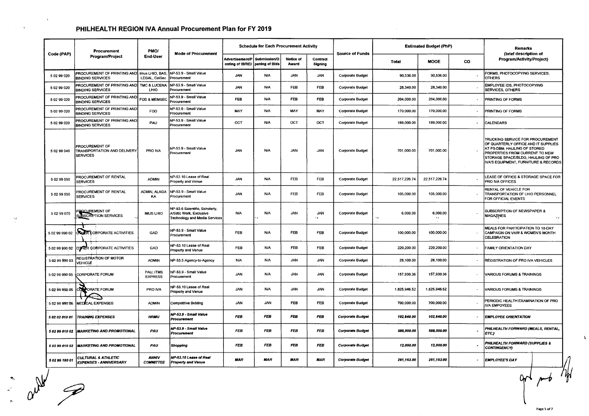$\mathcal{A}^{\mathcal{A}}$ 

| Program/Project                                                  | PMO/                             | <b>Mode of Procurement</b>                                 | <b>Schedule for Each Procurement Activity</b>                       |                               |                           | <b>Source of Funds</b>  |                         | <b>Estimated Budget (PhP)</b> |                        | Remarks<br>(brief description of |                                                                                                                                                                                                                                       |
|------------------------------------------------------------------|----------------------------------|------------------------------------------------------------|---------------------------------------------------------------------|-------------------------------|---------------------------|-------------------------|-------------------------|-------------------------------|------------------------|----------------------------------|---------------------------------------------------------------------------------------------------------------------------------------------------------------------------------------------------------------------------------------|
|                                                                  | End-User                         |                                                            | Advertisement/P   Submission/O<br>osting of IB/REI   pening of Bids |                               | <b>Notice of</b><br>Award | Contract<br>Signing     |                         | Total                         | <b>MOOE</b>            | <b>CO</b>                        | Program/Activity/Project)                                                                                                                                                                                                             |
| <b>BINDING SERVICES</b>                                          | LEGAL, ColSec                    | Procurement                                                | <b>JAN</b>                                                          | <b>N/A</b>                    | <b>JAN</b>                | JAN                     | <b>Corporate Budget</b> | 90,536.00                     | 90,536.00              |                                  | FORMS, PHOTOCOPYING SERVICES,<br><b>OTHERS</b>                                                                                                                                                                                        |
| PROCUREMENT OF PRINTING AND<br><b>BINDING SERVICES</b>           | TMC & LUCENA<br>LHIO             | NP-53.9 - Small Value<br>Procurement                       | <b>JAN</b>                                                          | <b>N/A</b>                    | FEB                       | FEB                     | <b>Corporate Budget</b> | 28,340.00                     | 28,340.00              |                                  | EMPLOYEE IDS, PHOTOCOPYING<br><b>SERVICES, OTHERS</b>                                                                                                                                                                                 |
| PROCUREMENT OF PRINTING AND<br><b>BINDING SERVICES</b>           | FOD & MEMSEO                     | NP-53.9 - Small Value<br>Procurement                       | <b>FEB</b>                                                          | N/A                           | FEB                       | <b>FEB</b>              | <b>Corporate Budget</b> | 204,000.00                    | 204,000.00             |                                  | PRINTING OF FORMS                                                                                                                                                                                                                     |
| PROCUREMENT OF PRINTING AND<br><b>BINDING SERVICES</b>           | FOD                              | NP-53.9 - Small Value<br>Procurement                       | <b>MAY</b>                                                          | N/A                           | MAY                       | MAY                     | <b>Corporate Budget</b> | 170,000.00                    | 170,000.00             |                                  | <b>PRINTING OF FORMS</b>                                                                                                                                                                                                              |
| PROCUREMENT OF PRINTING AND<br><b>BINDING SERVICES</b>           | PAU                              | NP-53.9 - Small Value<br>Procurement                       | OCT                                                                 | <b>N/A</b>                    | OCT                       | OCT                     | <b>Corporate Budget</b> | 189,000.00                    | 189,000.00             |                                  | CALENDARS                                                                                                                                                                                                                             |
| PROCUREMENT OF<br><b>TRANSPORTATION AND DELIVERY</b><br>SERVICES | PRO IVA                          | NP-53.9 - Small Value<br>Procurement                       | <b>JAN</b>                                                          | <b>N/A</b>                    | <b>JAN</b>                | <b>JAN</b>              | <b>Corporate Budget</b> | 701,000.00                    | 701,000.00             |                                  | <b>TRUCKING SERVICE FOR PROCUREMENT</b><br>OF QUARTERLY OFFICE AND IT SUPPLIES<br>AT PS-DBM, HAULING OF STORED<br><b>PROPERTIES FROM CURRENT TO NEW</b><br>STORAGE SPACE/BLDG, HAULING OF PRO<br>IVA'S EQUIPMENT, FURNITURE & RECORDS |
| PROCUREMENT OF RENTAL<br><b>SERVICES</b>                         | <b>ADMIN</b>                     | NP-53.10 Lease of Real<br>Property and Venue               | <b>JAN</b>                                                          | <b>N/A</b>                    | FEB                       | FEB                     | <b>Corporate Budget</b> | 22,517,226.74                 | 22,517,226.74          |                                  | LEASE OF OFFICE & STORAGE SPACE FOR<br><b>PRO IVA OFFICES</b>                                                                                                                                                                         |
| PROCUREMENT OF RENTAL<br><b>SERVICES</b>                         | ADMIN, ALAGA<br>KA               | NP-53.9 - Small Value<br>Procurement                       | JAN                                                                 | N/A                           | FEB                       | FEB                     | <b>Corporate Budget</b> | 105,000.00                    | 105,000.00             |                                  | RENTAL OF VEHICLE FOR<br><b>TRANSPORTATION OF LHIO PERSONNEL</b><br>FOR OFFICIAL EVENTS                                                                                                                                               |
| <b>POCUREMENT OF<br/>UBSCRIPTION SERVICES</b>                    | IMUS LHIO                        | NP-53.6 Scientific, Scholarly,<br>Artistic Work, Exclusive | N/A                                                                 | <b>N/A</b>                    | JAN                       | <b>JAN</b><br>$\lambda$ | Corporate Budget        | 6,000.00                      | 6,000.00<br>$\Delta f$ |                                  | SUBSCRIPTION OF NEWSPAPER &<br>MAGAZINES                                                                                                                                                                                              |
| <b>ON ER CORPORATE ACTIVITIES</b>                                | GAD                              | NP-53.9 - Small Value<br>Procurement                       | <b>FEB</b>                                                          | N/A                           | FEB                       | FEB                     | <b>Corporate Budget</b> | 100,000.00                    | 100,000.00             |                                  | MEALS FOR PARTICIPATION TO 18-DAY<br>CAMPAIGN ON VAW & WOMEN'S MONTH<br>CELEBRATION                                                                                                                                                   |
| OTHER CORPORATE ACTIVITIES<br>5 02 99 990 02                     | GAD                              | NP-53.10 Lease of Real<br>Property and Venue               | <b>FEB</b>                                                          | <b>N/A</b>                    | <b>FEB</b>                | <b>FEB</b>              | <b>Corporate Budget</b> | 220,200.00                    | 220,200.00             |                                  | <b>FAMILY ORIENTATION DAY</b>                                                                                                                                                                                                         |
| REGISTRATION OF MOTOR<br>VEHICLE                                 | <b>ADMIN</b>                     | NP-53.5 Agency-to-Agency                                   | N/A                                                                 | N/A                           | <b>JAN</b>                | <b>JAN</b>              | <b>Corporate Budget</b> | 28,100.00                     | 28,100.00              |                                  | <b>REGISTRATION OF PRO IVA VEHICLES</b>                                                                                                                                                                                               |
| CORPORATE FORUM<br>5029999005                                    | PAU, ITMS<br><b>EXPRESS</b>      | NP-53.9 - Small Value<br>Procurement                       | JAN                                                                 | N/A                           | <b>JAN</b>                | <b>JAN</b>              | <b>Corporate Budget</b> | 157,930.36                    | 157,930.36             |                                  | VARIOUS FORUMS & TRAININGS                                                                                                                                                                                                            |
| <b>ORATE FORUM</b>                                               | PRO IVA                          | NP-53.10 Lease of Real<br>Property and Venue               | <b>JAN</b>                                                          | <b>N/A</b>                    | <b>JAN</b>                | <b>JAN</b>              | <b>Corporate Budget</b> | 1,825,946.52                  | 1,825,946.52           |                                  | VARIOUS FORUMS & TRAININGS                                                                                                                                                                                                            |
| <b>MEDICAL EXPENSES</b>                                          | <b>ADMIN</b>                     | Competitive Bidding                                        | JAN                                                                 | <b>JAN</b>                    | FE <sub>8</sub>           | FEB                     | <b>Corporate Budget</b> | 700,000.00                    | 700,000.00             |                                  | PERIODIC HEALTH EXAMINATION OF PRO<br><b>IVA EMPOYEES</b>                                                                                                                                                                             |
| <b>TRAINING EXPENSES</b>                                         | <b>HRMU</b>                      | NP-53.9 - Small Value<br>Procurement                       | <b>FEB</b>                                                          | FEB                           | FEB                       | FEB                     | <b>Corporate Budget</b> | 102,640.00                    | 102,640.00             |                                  | <b>EMPLOYEE ORIENTATION</b>                                                                                                                                                                                                           |
| <b>MARKETING AND PROMOTIONAL</b><br>5 02 99 010 02               | PAU                              | NP-53.9 - Small Value<br>Procurement                       | FEB                                                                 | FEB                           | FEB                       | FEB                     | <b>Corporate Budget</b> | 588,000.00                    | 588,000.00             |                                  | PHILHEALTH FORWARD (MEALS, RENTAL,<br>ETC.)                                                                                                                                                                                           |
| 5 02 99 010 02 MARKETING AND PROMOTIONAL                         | PAU                              | Shopping                                                   | <b>FEB</b>                                                          | FEB                           | FEB                       | FEB                     | <b>Corporate Budget</b> | 12,000.00                     | 12,000.00              |                                  | PHILHEALTH FORWARD (SUPPLIES &<br><b>CONTINGENCY)</b>                                                                                                                                                                                 |
| <b>CULTURAL &amp; ATHLETIC</b><br><b>EXPENSES - ANNIVERSARY</b>  | <b>ANNIV</b><br><b>COMMITTEE</b> | NP-53.10 Lease of Real<br><b>Property and Venue</b>        | MAR                                                                 | MAR                           | MAR                       | <b>MAR</b>              | <b>Corporate Budget</b> | 261,163.00                    | 261,163.00             |                                  | <b>EMPLOYEE'S DAY</b>                                                                                                                                                                                                                 |
|                                                                  |                                  |                                                            |                                                                     |                               |                           |                         |                         |                               |                        |                                  |                                                                                                                                                                                                                                       |
|                                                                  |                                  |                                                            | PROCUREMENT OF PRINTING AND Imus LHIO, BAS, INP-53.9 - Small Value  | Technology and Media Services |                           |                         |                         |                               |                        |                                  |                                                                                                                                                                                                                                       |

 $\Lambda$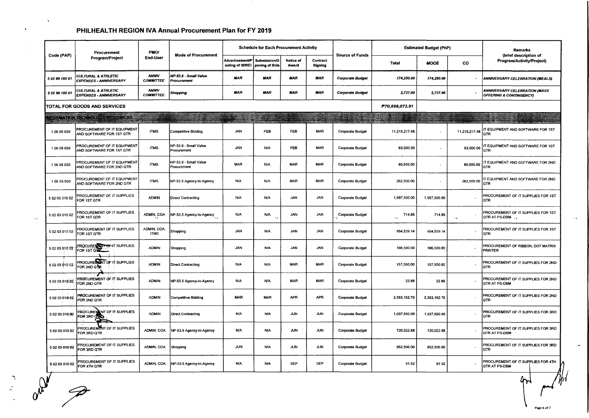$\langle \mathbf{v} \rangle$ 

| Code (PAP)     | Procurement                                                     | <b>PMO/</b><br>End-User          | <b>Mode of Procurement</b>           |                                                                   | <b>Schedule for Each Procurement Activity</b> |                    |                     | <b>Source of Funds</b>  |                         | <b>Estimated Budget (PhP)</b> |                 | Remarks<br>(brief description of                                           |
|----------------|-----------------------------------------------------------------|----------------------------------|--------------------------------------|-------------------------------------------------------------------|-----------------------------------------------|--------------------|---------------------|-------------------------|-------------------------|-------------------------------|-----------------|----------------------------------------------------------------------------|
|                | Program/Project                                                 |                                  |                                      | Advertisement/P Submission/O<br>osting of IB/REI   pening of Bids |                                               | Notice of<br>Award | Contract<br>Signing |                         | Total                   | <b>MOOE</b>                   | CO              | Program/Activity/Project)                                                  |
| 5 02 99 180 01 | <b>CULTURAL &amp; ATHLETIC</b><br><b>EXPENSES - ANNIVERSARY</b> | <b>ANNIV</b><br><b>COMMITTEE</b> | NP-53.9 - Small Value<br>Procurement | MAR                                                               | MAR                                           | <b>MAR</b>         | MAR                 | <b>Corporate Budget</b> | 174,250.00              | 174,250.00                    |                 | <b>ANNIVERSARY CELEBRATION (MEALS)</b>                                     |
| 5 02 99 180 01 | <b>CULTURAL &amp; ATHLETIC</b><br><b>EXPENSES - ANNIVERSARY</b> | <b>ANNIV</b><br><b>COMMITTEE</b> | Shopping                             | MAR                                                               | MAR                                           | <b>MAR</b>         | <b>MAR</b>          | <b>Corporate Budget</b> | 2,737.00                | 2,737.00                      |                 | <b>ANNIVERSARY CELEBRATION (MASS</b><br><b>OFFERING &amp; CONTINGENCY)</b> |
|                | TOTAL FOR GOODS AND SERVICES                                    |                                  |                                      |                                                                   |                                               |                    |                     |                         | P70,868,073.91          |                               |                 |                                                                            |
|                | <b>FORMATION TECHNOLOGY RESOURCES</b>                           | --                               |                                      |                                                                   |                                               |                    |                     | a.                      | 樂事                      |                               |                 |                                                                            |
| 106 05 030     | PROCUREMENT OF IT EQUIPMENT<br>AND SOFTWARE FOR 1ST QTR         | <b>ITMS</b>                      | <b>Competitive Bidding</b>           | <b>JAN</b>                                                        | <b>FEB</b>                                    | FEB                | <b>MAR</b>          | <b>Corporate Budget</b> | 11,215,217.48           | $\blacksquare$                | 11,215,217.48   | IT EQUIPMENT AND SOFTWARE FOR 1ST<br> QTR                                  |
| 106 05 030     | PROCUREMENT OF IT EQUIPMENT<br>AND SOFTWARE FOR 1ST QTR         | <b>ITMS</b>                      | NP-53.9 - Small Value<br>Procurement | <b>JAN</b>                                                        | <b>N/A</b>                                    | <b>FEB</b>         | MAR                 | <b>Corporate Budget</b> | 63,000.00               | $\overline{\phantom{a}}$      | 63,000.00       | IT EQUIPMENT AND SOFTWARE FOR 1ST<br><b>QTR</b>                            |
| 1 06 05 030    | PROCUREMENT OF IT EQUIPMENT<br>AND SOFTWARE FOR 2ND QTR         | <b>ITMS</b>                      | NP-53.9 - Small Value<br>Procurement | <b>MAR</b>                                                        | <b>N/A</b>                                    | <b>MAR</b>         | <b>MAR</b>          | <b>Corporate Budget</b> | 80,850.00               | $\blacksquare$                | 80,850.00       | IT EQUIPMENT AND SOFTWARE FOR 2ND<br>QTR                                   |
| 1 06 05 030    | PROCUREMENT OF IT EQUIPMENT<br>AND SOFTWARE FOR 2ND QTR         | <b>ITMS</b>                      | NP-53.5 Agency-to-Agency             | N/A                                                               | <b>N/A</b>                                    | <b>MAR</b>         | <b>MAR</b>          | <b>Corporate Budget</b> | 262,500.00              | $\blacksquare$                | 262,500.00      | T EQUIPMENT AND SOFTWARE FOR 2ND<br>QTR                                    |
| 5 02 03 010 02 | PROCUREMENT OF IT SUPPLIES<br>FOR 1ST QTR                       | <b>ADMIN</b>                     | Direct Contracting                   | N/A                                                               | <b>N/A</b>                                    | <b>JAN</b>         | <b>JAN</b>          | Corporate Budget        | 1,997,500.00            | 1,997,500.00                  |                 | PROCUREMENT OF IT SUPPLIES FOR 1ST<br>QTR                                  |
| 5 02 03 010 02 | PROCUREMENT OF IT SUPPLIES<br>FOR 1ST QTR                       | ADMIN, COA                       | NP-53.5 Agency-to-Agency             | <b>N/A</b>                                                        | <b>N/A</b>                                    | <b>JAN</b>         | <b>JAN</b>          | <b>Corporate Budget</b> | 714.85<br>$\mathcal{N}$ | 714.85                        | $\Delta$ $\chi$ | PROCUREMENT OF IT SUPPLIES FOR 1ST<br>QTRATPS-DBM                          |
| 5 02 03 010 02 | PROCUREMENT OF IT SUPPLIES<br>FOR 1ST QTR                       | ADMIN, COA,<br><b>ITMS</b>       | Shopping                             | JAN                                                               | <b>N/A</b>                                    | <b>JAN</b>         | <b>JAN</b>          | <b>Corporate Budget</b> | 954,529.14              | 954,529.14                    |                 | PROCUREMENT OF IT SUPPLIES FOR 1ST<br>QTR                                  |
| 5 02 03 010 02 | PROCURENT OF IT SUPPLIES                                        | <b>ADMIN</b>                     | Shopping                             | <b>JAN</b>                                                        | <b>N/A</b>                                    | <b>JAN</b>         | <b>JAN</b>          | Corporate Budget        | 166,500.00              | 166,500.00                    |                 | PROCUREMENT OF RIBBON, DOT MATRIX<br>PRINTER                               |
| 5 02 03 010 02 | PROCUREMENT OF IT SUPPLIES<br>FOR 2ND QTR                       | <b>ADMIN</b>                     | <b>Direct Contracting</b>            | <b>N/A</b>                                                        | N/A                                           | <b>MAR</b>         | MAR                 | Corporate Budget        | 157,500.00              | 157,500.00                    |                 | PROCUREMENT OF IT SUPPLIES FOR 2ND<br>lQTR.                                |
| 5 02 03 010 02 | <b>PROCUREMENT OF IT SUPPLIES</b><br>FOR 2ND QTR                | <b>ADMIN</b>                     | NP-53.5 Agency-to-Agency             | <b>N/A</b>                                                        | <b>N/A</b>                                    | <b>MAR</b>         | MAR                 | <b>Corporate Budget</b> | 22.88                   | 22.88                         |                 | PROCUREMENT OF IT SUPPLIES FOR 2ND<br>QTR AT PS-DBM                        |
| 5 02 03 010 02 | PRÖCUREMENT OF IT SUPPLIES<br>FOR 2ND QTR                       | <b>ADMIN</b>                     | <b>Competitive Bidding</b>           | <b>MAR</b>                                                        | <b>MAR</b>                                    | <b>APR</b>         | <b>APR</b>          | <b>Corporate Budget</b> | 2,353,162.70            | 2,353,162.70                  |                 | PROCUREMENT OF IT SUPPLIES FOR 2ND<br>QTR                                  |
| 5 02 03 010 02 | PROCUREMENT OF IT SUPPLIES<br>FOR 3RD CNO                       | <b>ADMIN</b>                     | <b>Direct Contracting</b>            | <b>N/A</b>                                                        | <b>N/A</b>                                    | <b>JUN</b>         | JUN                 | Corporate Budget        | 1,037,500.00            | 1,037,500.00                  |                 | PROCUREMENT OF IT SUPPLIES FOR 3RD<br>QTR                                  |
| 5 02 03 010 02 | PROCUREMENT OF IT SUPPLIES<br>FOR 3RD QTR                       | ADMIN, COA                       | NP-53.5 Agency-to-Agency             | <b>N/A</b>                                                        | <b>N/A</b>                                    | JUN                | <b>JUN</b>          | <b>Corporate Budget</b> | 720,022.88              | 720,022.88                    |                 | PROCUREMENT OF IT SUPPLIES FOR 3RD<br>QTR AT PS-DBM                        |
|                | 5 02 03 010 02 PROCUREMENT OF IT SUPPLIES                       | ADMIN, COA                       | Shopping                             | <b>JUN</b>                                                        | <b>N/A</b>                                    | <b>JUN</b>         | JUN                 | Corporate Budget        | 852,506.00              | 852,506.00                    |                 | PROCUREMENT OF IT SUPPLIES FOR 3RD<br>QTR                                  |
| 5 02 03 010 02 | PROCUREMENT OF IT SUPPLIES<br>FOR 4TH QTR                       | ADMIN, COA                       | NP-53.5 Agency-to-Agency             | <b>N/A</b>                                                        | <b>N/A</b>                                    | <b>SEP</b>         | <b>SEP</b>          | <b>Corporate Budget</b> | 91.52                   | 91.52                         |                 | PROCUREMENT OF IT SUPPLIES FOR 4TH<br><b>QTR AT PS-DBM</b>                 |

? **Page6** of 7

 $\Delta_{\rm 3D}$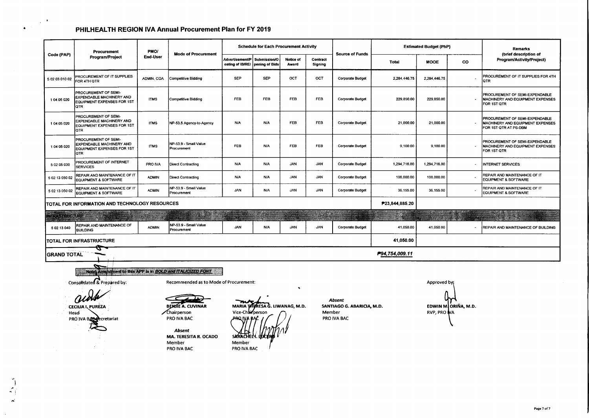$\chi$  .

 $\blacktriangle$ 

 $\boldsymbol{\kappa}^{\prime}$ 

|                                                                                                                                                                                                                                                                                                                                                                                                                                                                                                       | Procurement<br>Program/Project                                                               | PMO/<br>End-User | <b>Mode of Procurement</b>           |                                       | <b>Schedule for Each Procurement Activity</b> |                    |                     |                         | <b>Estimated Budget (PhP)</b> |                             |                          | <b>Remarks</b>                                                                              |
|-------------------------------------------------------------------------------------------------------------------------------------------------------------------------------------------------------------------------------------------------------------------------------------------------------------------------------------------------------------------------------------------------------------------------------------------------------------------------------------------------------|----------------------------------------------------------------------------------------------|------------------|--------------------------------------|---------------------------------------|-----------------------------------------------|--------------------|---------------------|-------------------------|-------------------------------|-----------------------------|--------------------------|---------------------------------------------------------------------------------------------|
| Code (PAP)                                                                                                                                                                                                                                                                                                                                                                                                                                                                                            |                                                                                              |                  |                                      | Advertisement/P  <br>osting of IB/REI | Submission/O<br>pening of Bids                | Notice of<br>Award | Contract<br>Signing | <b>Source of Funds</b>  | <b>Total</b>                  | <b>MOOE</b>                 | <b>CO</b>                | (brief description of<br>Program/Activity/Project)                                          |
| 5 02 03 010 02                                                                                                                                                                                                                                                                                                                                                                                                                                                                                        | PROCUREMENT OF IT SUPPLIES<br>FOR 4TH QTR                                                    | ADMIN, COA       | <b>Competitive Bidding</b>           | <b>SEP</b>                            | <b>SEP</b>                                    | OCT                | OCT                 | <b>Corporate Budget</b> | 2,284,446.75                  | 2,284,446.75                |                          | PROCUREMENT OF IT SUPPLIES FOR 4TH<br><b>QTR</b>                                            |
| 1 04 05 020                                                                                                                                                                                                                                                                                                                                                                                                                                                                                           | PROCUREMENT OF SEMI-<br>EXPENDABLE MACHINERY AND<br>EQUIPMENT EXPENSES FOR 1ST<br>QTR        | <b>ITMS</b>      | Competitive Bidding                  | <b>FEB</b>                            | FEB                                           | <b>FEB</b>         | <b>FEB</b>          | <b>Corporate Budget</b> | 229,850.00                    | 229,850.00                  |                          | PROCUREMENT OF SEMI-EXPENDABLE<br>MACHINERY AND EQUIPMENT EXPENSES<br>FOR 1ST QTR           |
| 1 04 05 020                                                                                                                                                                                                                                                                                                                                                                                                                                                                                           | PROCUREMENT OF SEMI-<br>EXPENDABLE MACHINERY AND<br>EQUIPMENT EXPENSES FOR 1ST<br><b>QTR</b> | <b>ITMS</b>      | NP-53.5 Agency-to-Agency             | <b>N/A</b>                            | <b>N/A</b>                                    | FEB                | FEB                 | <b>Corporate Budget</b> | 21,000.00                     | 21,000.00                   |                          | PROCUREMENT OF SEMI-EXPENDABLE<br>MACHINERY AND EQUIPMENT EXPENSES<br>FOR 1ST QTR AT PS-DBM |
| 1 04 05 020                                                                                                                                                                                                                                                                                                                                                                                                                                                                                           | PROCUREMENT OF SEMI-<br><b>EXPENDABLE MACHINERY AND</b><br>EQUIPMENT EXPENSES FOR 1ST<br>QTR | <b>ITMS</b>      | NP-53.9 - Small Value<br>Procurement | <b>FEB</b>                            | <b>N/A</b>                                    | <b>FEB</b>         | FEB                 | <b>Corporate Budget</b> | 9,100.00                      | 9,100.00                    | $\sim$                   | PROCUREMENT OF SEMI-EXPENDABLE<br>MACHINERY AND EQUIPMENT EXPENSES<br>FOR 1ST QTR           |
| 5 02 05 030                                                                                                                                                                                                                                                                                                                                                                                                                                                                                           | PROCUREMENT OF INTERNET<br><b>SERVICES</b>                                                   | PRO IVA          | <b>Direct Contracting</b>            | <b>N/A</b>                            | <b>N/A</b>                                    | <b>JAN</b>         | <b>JAN</b>          | <b>Corporate Budget</b> | 1,294,716.00                  | 1,294,716.00                | $\sim$                   | <b>INTERNET SERVICES</b>                                                                    |
| 5 02 13 050 02                                                                                                                                                                                                                                                                                                                                                                                                                                                                                        | REPAIR AND MAINTENANCE OF IT<br>EQUIPMENT & SOFTWARE                                         | <b>ADMIN</b>     | <b>Direct Contracting</b>            | <b>N/A</b>                            | <b>N/A</b>                                    | <b>JAN</b>         | <b>JAN</b>          | Corporate Budget        | 108,000.00                    | 108,000.00                  |                          | REPAIR AND MAINTENANCE OF IT<br><b>EQUIPMENT &amp; SOFTWARE</b>                             |
| 5 02 13 050 02                                                                                                                                                                                                                                                                                                                                                                                                                                                                                        | REPAIR AND MAINTENANCE OF IT<br>EQUIPMENT & SOFTWARE                                         | <b>ADMIN</b>     | NP-53.9 - Small Value<br>Procurement | <b>JAN</b>                            | <b>N/A</b>                                    | <b>JAN</b>         | <b>JAN</b>          | <b>Corporate Budget</b> | 36,155.00                     | 36,155.00                   |                          | REPAIR AND MAINTENANCE OF IT<br><b>EQUIPMENT &amp; SOFTWARE</b>                             |
|                                                                                                                                                                                                                                                                                                                                                                                                                                                                                                       | TOTAL FOR INFORMATION AND TECHNOLOGY RESOURCES                                               |                  |                                      |                                       |                                               |                    |                     |                         | P23,844,885.20                |                             |                          |                                                                                             |
| <b>TEXAMBIORE</b>                                                                                                                                                                                                                                                                                                                                                                                                                                                                                     |                                                                                              |                  |                                      |                                       |                                               |                    | $\sim$ and $\sim$   |                         |                               |                             |                          |                                                                                             |
| 5 02 13 040                                                                                                                                                                                                                                                                                                                                                                                                                                                                                           | REPAIR AND MAINTENANCE OF<br><b>BUILDING</b>                                                 | <b>ADMIN</b>     | NP-53.9 - Small Value<br>Procurement | <b>JAN</b>                            | N/A                                           | <b>JAN</b>         | <b>JAN</b>          | Corporate Budget        | 41.050.00                     | 41,050.00                   | $\overline{\phantom{a}}$ | REPAIR AND MAINTENANCE OF BUILDING                                                          |
|                                                                                                                                                                                                                                                                                                                                                                                                                                                                                                       | TOTAL FOR INFRASTRUCTURE                                                                     |                  |                                      |                                       |                                               |                    |                     |                         | 41,050.00                     |                             |                          |                                                                                             |
| GRAND TOTAL                                                                                                                                                                                                                                                                                                                                                                                                                                                                                           | z                                                                                            |                  |                                      |                                       |                                               |                    |                     |                         | P94,754,009.11                |                             |                          |                                                                                             |
| ↽<br>Note) Amendment to this APP is in BOLD and ITALICIZED FONT<br>Consolidated & Prepared by:<br>Recommended as to Mode of Procurement:<br>٠<br><b>Absent</b><br><b>BENJIE A. CUVINAR</b><br>MARIA TATRESA G. LIWANAG, M.D.<br>SANTIAGO G. ABARICIA, M.D.<br><b>CECHIA I. PUREZA</b><br>Vice-Chairperson<br>Chairperson<br>Member<br><b>Head</b><br>PRO IVA BAC<br>PRO IVA BAC<br>PRO IVA BASSecretariat<br>Absent<br><b>MA. TERESITA R. OCADO</b><br>Member<br>Member<br>PRO IVA BAC<br>PRO IVA BAC |                                                                                              |                  |                                      |                                       |                                               |                    |                     |                         |                               | Approved by:<br>RVP, PRO NA | EDWIN M. ORIÑA, M.D.     |                                                                                             |

Page 7 of 7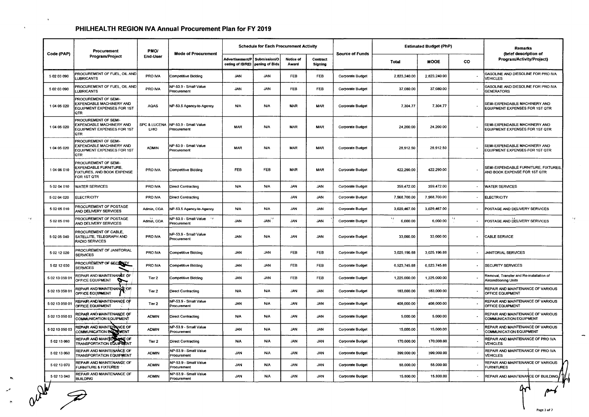... ~"' ,.,

 $\mathbf{A}$ 

 $\ddot{\phantom{a}}$ 

 $\mathbf{v}_f$ 

| Code (PAP)     | Procurement<br>Program/Project                                                               | PMO/<br><b>End-User</b>         | <b>Mode of Procurement</b>             |                                            | <b>Schedule for Each Procurement Activity</b> |                           |                     |                         |              | <b>Estimated Budget (PhP)</b> | Remarks   |                                                                      |
|----------------|----------------------------------------------------------------------------------------------|---------------------------------|----------------------------------------|--------------------------------------------|-----------------------------------------------|---------------------------|---------------------|-------------------------|--------------|-------------------------------|-----------|----------------------------------------------------------------------|
|                |                                                                                              |                                 |                                        | <b>Advertisement/P</b><br>osting of IB/REI | Submission/O<br>pening of Bids                | <b>Notice of</b><br>Award | Contract<br>Signing | <b>Source of Funds</b>  | <b>Total</b> | <b>MOOE</b>                   | <b>CO</b> | (brief description of<br>Program/Activity/Project)                   |
| 5 02 03 090    | PROCUREMENT OF FUEL, OIL AND<br>LUBRICANTS                                                   | PRO IVA                         | <b>Competitive Bidding</b>             | <b>JAN</b>                                 | <b>JAN</b>                                    | FEB                       | <b>FEB</b>          | <b>Corporate Budget</b> | 2.823.240.00 | 2,823,240.00                  |           | GASOLINE AND DIESOLINE FOR PRO IVA<br>VEHICLES                       |
| 5 02 03 090    | PROCUREMENT OF FUEL, OIL AND<br>LUBRICANTS                                                   | PRO IVA                         | NP-53.9 - Small Value<br>Procurement   | <b>JAN</b>                                 | <b>JAN</b>                                    | FEB                       | <b>FEB</b>          | <b>Corporate Budget</b> | 37,080.00    | 37,080.00                     |           | GASOLINE AND DIESOLINE FOR PRO IVA<br><b>GENERATORS</b>              |
| 1 04 05 020    | PROCUREMENT OF SEMI-<br>EXPENDABLE MACHINERY AND<br>EQUIPMENT EXPENSES FOR 1ST<br><b>OTR</b> | <b>AQAS</b>                     | NP-53.5 Agency-to-Agency               | N/A                                        | <b>N/A</b>                                    | <b>MAR</b>                | <b>MAR</b>          | <b>Corporate Budget</b> | 7,304.77     | 7,304.77                      |           | SEMI-EXPENDABLE MACHINERY AND<br>EQUIPMENT EXPENSES FOR 1ST QTR      |
| 104 05 020     | PROCUREMENT OF SEMI-<br>EXPENDABLE MACHINERY AND<br>EQUIPMENT EXPENSES FOR 1ST<br><b>QTR</b> | <b>SPC &amp; LUCENA</b><br>LHIO | NP-53.9 - Small Value<br>Procurement   | <b>MAR</b>                                 | <b>N/A</b>                                    | <b>MAR</b>                | <b>MAR</b>          | Corporate Budget        | 24,200.00    | 24,200.00                     |           | SEMI-EXPENDABLE MACHINERY AND<br>EQUIPMENT EXPENSES FOR 1ST QTR      |
| 104 05 020     | PROCUREMENT OF SEMI-<br>EXPENDABLE MACHINERY AND<br>EQUIPMENT EXPENSES FOR 1ST<br><b>QTR</b> | <b>ADMIN</b>                    | NP-53.9 - Small Value<br>Procurement   | <b>MAR</b>                                 | <b>N/A</b>                                    | <b>MAR</b>                | <b>MAR</b>          | Corporate Budget        | 28,912.50    | 28,912.50                     |           | SEMI-EXPENDABLE MACHINERY AND<br>EQUIPMENT EXPENSES FOR 1ST QTR      |
| 104 06 010     | PROCUREMENT OF SEMI-<br>EXPENDABLE FURNITURE,<br>FIXTURES, AND BOOK EXPENSE<br>FOR 1ST QTR   | PRO IVA                         | <b>Competitive Bidding</b>             | <b>FEB</b>                                 | FEB                                           | <b>MAR</b>                | <b>MAR</b>          | <b>Corporate Budget</b> | 422,290.00   | 422,290.00                    |           | SEMI-EXPENDABLE FURNITURE, FIXTURES,<br>AND BOOK EXPENSE FOR 1ST QTR |
| 5 02 04 010    | <b>WATER SERVICES</b>                                                                        | PRO IVA                         | Direct Contracting                     | <b>N/A</b>                                 | <b>N/A</b>                                    | <b>JAN</b>                | <b>JAN</b>          | <b>Corporate Budget</b> | 359.472.00   | 359.472.00                    |           | <b>WATER SERVICES</b>                                                |
| 5 02 04 020    | <b>ELECTRICITY</b>                                                                           | PRO IVA                         | Direct Contracting                     |                                            |                                               | <b>JAN</b>                | JAN                 | Corporate Budget        | 7,568,700.00 | 7,568,700.00                  |           | <b>ELECTRICITY</b>                                                   |
| 5 02 05 010    | PROCUREMENT OF POSTAGE<br>AND DELIVERY SERVICES                                              | Admin, COA                      | NP-53.5 Agency-to-Agency               | N/A                                        | <b>N/A</b>                                    | <b>JAN</b>                | <b>MAL</b>          | <b>Corporate Budget</b> | 3,029,467.00 | 3,029,467.00                  |           | POSTAGE AND DELIVERY SERVICES                                        |
| 5 02 05 010    | PROCUREMENT OF POSTAGE<br>AND DELIVERY SERVICES                                              | Admin, COA                      | NP-53.9 - Small Value V<br>Procurement | <b>JAN</b>                                 | JAN <sup>''</sup>                             | <b>JAN</b>                | <b>JAN</b>          | <b>Corporate Budget</b> | 6,000.00     | 6,000.00                      |           | POSTAGE AND DELIVERY SERVICES                                        |
| 5 02 05 040    | PROCUREMENT OF CABLE,<br>SATELLITE, TELEGRAPH AND<br>RADIO SERVICES                          | PRO IVA                         | NP-53.9 - Small Value<br>Procurement   | <b>JAN</b>                                 | <b>N/A</b>                                    | <b>JAN</b>                | <b>JAN</b>          | <b>Corporate Budget</b> | 33,000.00    | 33,000.00                     |           | CABLE SERVICE                                                        |
| 5 02 12 020    | PROCUREMENT OF JANITORIAL<br><b>SERVICES</b>                                                 | PRO IVA                         | <b>Competitive Bidding</b>             | <b>JAN</b>                                 | <b>JAN</b>                                    | <b>FEB</b>                | <b>FEB</b>          | Corporate Budget        | 3,025,196.88 | 3,025,196.88                  |           | <b>JANITORIAL SERVICES</b>                                           |
| 5 02 12 030    | PROCUREMENT OF SECONTY<br><b>SERVICES</b>                                                    | PRO IVA                         | Competitive Bidding                    | <b>JAN</b>                                 | <b>JAN</b>                                    | <b>FEB</b>                | <b>FEB</b>          | Corporate Budget        | 6,523,745.88 | 6,523,745.88                  |           | <b>SECURITY SERVICES</b>                                             |
| 5 02 13 050 01 | REPAIR AND MAINTENANCE OF<br>OFFICE EQUIPMENT<br>Ĩ                                           | Tier 2                          | <b>Competitive Bidding</b>             | <b>JAN</b>                                 | <b>JAN</b>                                    | <b>FEB</b>                | <b>FEB</b>          | <b>Corporate Budget</b> | 1,225,000.00 | 1,225,000.00                  |           | Removal, Transfer and Re-installation of<br>Airconditioning Units    |
| 5 02 13 050 01 | REPAIR AND MAINTENANCE OF<br>OFFICE EQUIPMENT                                                | Tier 2                          | Direct Contracting                     | <b>N/A</b>                                 | <b>N/A</b>                                    | JAN                       | <b>JAN</b>          | <b>Corporate Budget</b> | 183,000.00   | 183,000.00                    |           | REPAIR AND MAINTENANCE OF VARIOUS<br>OFFICE EQUIPMENT                |
| 5 02 13 050 01 | REPAIR: AND MAINTENANCE OF<br>OFFICE EQUIPMENT                                               | Tier 2                          | NP-53.9 - Smail Value<br>Procurement   | <b>JAN</b>                                 | <b>N/A</b>                                    | <b>JAN</b>                | <b>JAN</b>          | <b>Corporate Budget</b> | 408,000.00   | 408,000.00                    |           | REPAIR AND MAINTENANCE OF VARIOUS<br>OFFICE EQUIPMENT                |
| 5 02 13 050 03 | REPAIR AND MAINTENANCE OF<br>COMMUNICATION EQUIPMENT                                         | <b>ADMIN</b>                    | Direct Contracting                     | ΝA.                                        | <b>N/A</b>                                    | <b>JAN</b>                | <b>JAN</b>          | <b>Corporate Budget</b> | 5,000.00     | 5,000.00                      |           | REPAIR AND MAINTENANCE OF VARIOUS<br>COMMUNICATION EQUIPMENT         |
| 5 02 13 050 03 | REPAIR AND MAINTENANCE OF<br>COMMUNICATION BOUT MENT                                         | <b>ADMIN</b>                    | NP-53.9 - Small Value<br>Procurement   | JAN.                                       | <b>N/A</b>                                    | JAN.                      | <b>JAN</b>          | <b>Corporate Budget</b> | 15,000.00    | 15,000.00                     |           | REPAIR AND MAINTENANCE OF VARIOUS<br><b>COMMUNICATION EQUIPMENT</b>  |
| 5 02 13 060    | REPAIR AND MAINTER<br>eg or<br><b>TRANSPORTATION EQUIPMENT</b>                               | Tier <sub>2</sub>               | Direct Contracting                     | N/A                                        | <b>N/A</b>                                    | <b>JAN</b>                | <b>JAN</b>          | Corporate Budget        | 170,000.00   | 170,000.00                    |           | REPAIR AND MAINTENANCE OF PRO IVA<br><b>VEHICLES</b>                 |
| 5 02 13 060    | REPAIR AND MAINTENANCE OF<br><b>TRANSPORTATION EQUIPMENT</b>                                 | <b>ADMIN</b>                    | NP-53.9 - Small Value<br>Procurement   | JAN                                        | N/A                                           | <b>JAN</b>                | <b>JAN</b>          | Corporate Budget        | 399,000.00   | 399,000.00                    |           | REPAIR AND MAINTENANCE OF PRO IVA<br>VEHICLES                        |
| 5 02 13 070    | REPAIR AND MAINTENANCE OF<br><b>FURNITURE &amp; FIXTURES</b>                                 | <b>ADMIN</b>                    | NP-53.9 - Small Value<br>Procurement   | <b>JAN</b>                                 | <b>N/A</b>                                    | <b>JAN</b>                | <b>JAN</b>          | Corporate Budget        | 55,000.00    | 55,000.00                     |           | REPAIR AND MAINTENANCE OF VARIOUS<br>URNITURES                       |
| 5 02 13 040    | REPAIR AND MAINTENANCE OF<br><b>BUILDING</b>                                                 | <b>ADMIN</b>                    | NP-53.9 - Small Value<br>Procurement   | <b>JAN</b>                                 | <b>N/A</b>                                    | <b>JAN</b>                | <b>JAN</b>          | <b>Corporate Budget</b> | 15,800.00    | 15,800.00                     |           | REPAIR AND MAINTENANCE OF BUILDING                                   |
|                |                                                                                              |                                 |                                        |                                            |                                               |                           |                     |                         |              |                               |           | ᠰ                                                                    |

 $\propto \rho$  .

**Page 3 of 7**